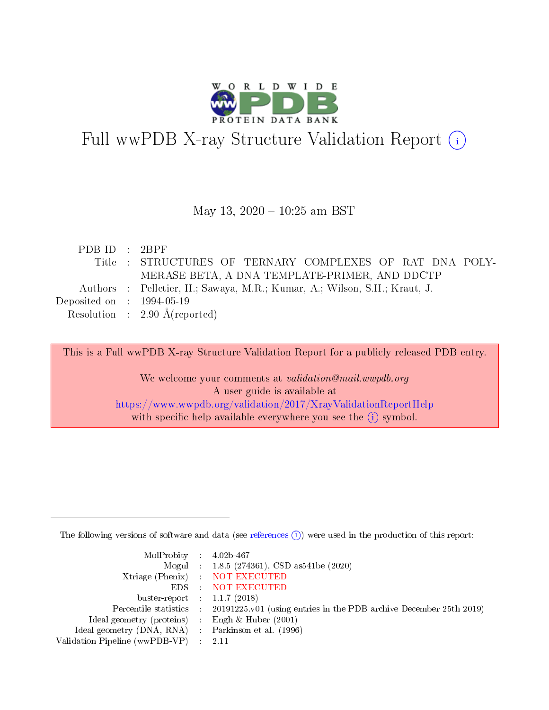

# Full wwPDB X-ray Structure Validation Report (i)

#### May 13, 2020 - 10:25 am BST

| PDBID : 2BPF                         |                                                                           |
|--------------------------------------|---------------------------------------------------------------------------|
|                                      | Title : STRUCTURES OF TERNARY COMPLEXES OF RAT DNA POLY-                  |
|                                      | MERASE BETA, A DNA TEMPLATE-PRIMER, AND DDCTP                             |
|                                      | Authors : Pelletier, H.; Sawaya, M.R.; Kumar, A.; Wilson, S.H.; Kraut, J. |
| Deposited on $\therefore$ 1994-05-19 |                                                                           |
|                                      | Resolution : $2.90 \text{ Å}$ (reported)                                  |

This is a Full wwPDB X-ray Structure Validation Report for a publicly released PDB entry.

We welcome your comments at validation@mail.wwpdb.org A user guide is available at <https://www.wwpdb.org/validation/2017/XrayValidationReportHelp> with specific help available everywhere you see the  $(i)$  symbol.

The following versions of software and data (see [references](https://www.wwpdb.org/validation/2017/XrayValidationReportHelp#references)  $(i)$ ) were used in the production of this report:

| MolProbity : $4.02b-467$                            |                                                                                            |
|-----------------------------------------------------|--------------------------------------------------------------------------------------------|
|                                                     | Mogul : 1.8.5 (274361), CSD as541be (2020)                                                 |
|                                                     | Xtriage (Phenix) NOT EXECUTED                                                              |
|                                                     | EDS NOT EXECUTED                                                                           |
| buster-report : $1.1.7(2018)$                       |                                                                                            |
|                                                     | Percentile statistics : 20191225.v01 (using entries in the PDB archive December 25th 2019) |
| Ideal geometry (proteins) : Engh $\&$ Huber (2001)  |                                                                                            |
| Ideal geometry (DNA, RNA) : Parkinson et al. (1996) |                                                                                            |
| Validation Pipeline (wwPDB-VP)                      | - 2.11                                                                                     |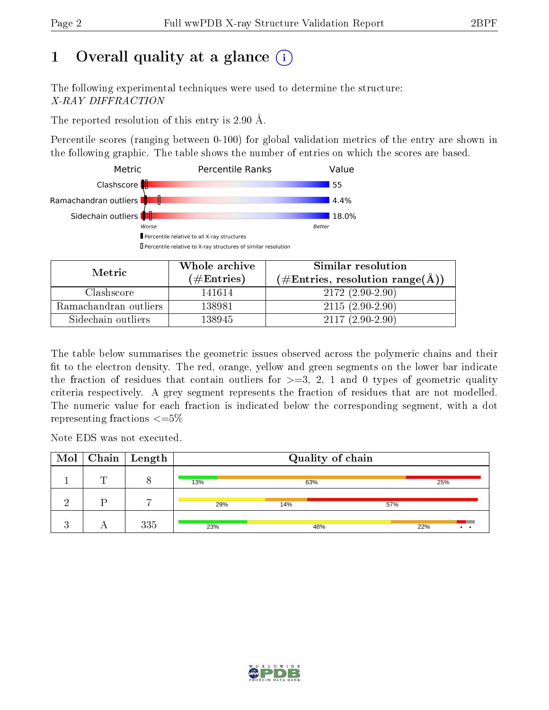# 1 [O](https://www.wwpdb.org/validation/2017/XrayValidationReportHelp#overall_quality)verall quality at a glance  $(i)$

The following experimental techniques were used to determine the structure: X-RAY DIFFRACTION

The reported resolution of this entry is 2.90 Å.

Percentile scores (ranging between 0-100) for global validation metrics of the entry are shown in the following graphic. The table shows the number of entries on which the scores are based.



| Metric.               | Whole archive       | Similar resolution                                 |
|-----------------------|---------------------|----------------------------------------------------|
|                       | (# $\rm{Entries}$ ) | $(\text{\#Entries, resolution range}(\text{\AA}))$ |
| Clashscore            | 141614              | $2172(2.90-2.90)$                                  |
| Ramachandran outliers | 138981              | $2115(2.90-2.90)$                                  |
| Sidechain outliers    | 138945              | $2117(2.90-2.90)$                                  |

The table below summarises the geometric issues observed across the polymeric chains and their fit to the electron density. The red, orange, yellow and green segments on the lower bar indicate the fraction of residues that contain outliers for  $\geq=3$ , 2, 1 and 0 types of geometric quality criteria respectively. A grey segment represents the fraction of residues that are not modelled. The numeric value for each fraction is indicated below the corresponding segment, with a dot representing fractions  $\epsilon = 5\%$ 

Note EDS was not executed.

|   | $\fbox{Mol}$ Chain   Length |     | Quality of chain |     |     |                 |
|---|-----------------------------|-----|------------------|-----|-----|-----------------|
| m |                             | 13% | 63%              |     | 25% |                 |
|   |                             | 29% | 14%              | 57% |     |                 |
|   | 335                         | 23% | 48%              |     | 22% | $\cdot$ $\cdot$ |

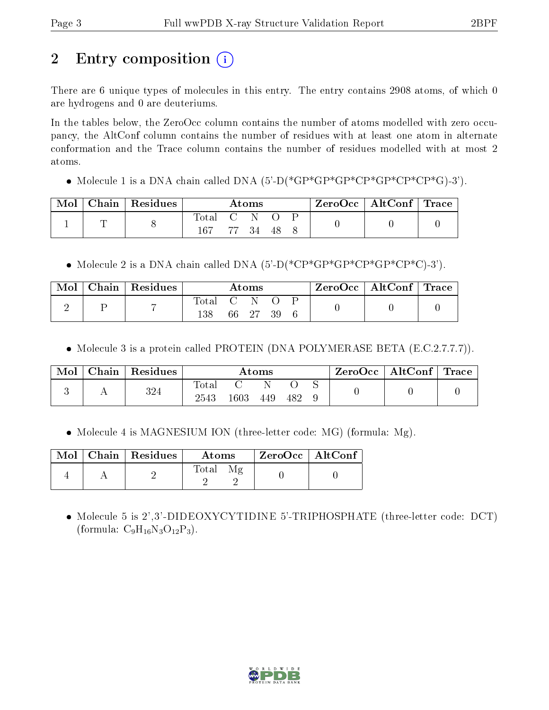# 2 Entry composition  $\left( \cdot \right)$

There are 6 unique types of molecules in this entry. The entry contains 2908 atoms, of which 0 are hydrogens and 0 are deuteriums.

In the tables below, the ZeroOcc column contains the number of atoms modelled with zero occupancy, the AltConf column contains the number of residues with at least one atom in alternate conformation and the Trace column contains the number of residues modelled with at most 2 atoms.

• Molecule 1 is a DNA chain called DNA  $(5-D(*GP*GP*GP*CP*CP*CP*CP*CP*CP*CP).$ 

| Mol | $\parallel$ Chain $\parallel$ Residues $\parallel$ |             | $\rm{Atoms}$ |  | $\text{ZeroOcc} \mid \text{AltConf} \mid \text{Trace}$ |  |
|-----|----------------------------------------------------|-------------|--------------|--|--------------------------------------------------------|--|
|     |                                                    | Total C N O |              |  |                                                        |  |
|     |                                                    | 167         | 77 34 48     |  |                                                        |  |

• Molecule 2 is a DNA chain called DNA  $(5)-D(*CP*GP*GP*CP*CP*CP*C)-3'$ .

| Mol | Chain Residues |                    | $\rm{Atoms}$ |  | $\text{ZeroOcc}$   AltConf   Trace |  |
|-----|----------------|--------------------|--------------|--|------------------------------------|--|
| ↵   | $\overline{ }$ | Total C N O<br>138 | 66 27 39     |  |                                    |  |

• Molecule 3 is a protein called PROTEIN (DNA POLYMERASE BETA (E.C.2.7.7.7)).

| Mol | $\Box$ Chain $\Box$ | Residues | $\rm{Atoms}$        |          |     |     | ZeroOcc∣ | $\mid$ AltConf $\mid$ Trace $\mid$ |  |  |
|-----|---------------------|----------|---------------------|----------|-----|-----|----------|------------------------------------|--|--|
|     |                     | 324      | $\rm Total$<br>2543 | $1603\,$ | 449 | 482 |          |                                    |  |  |

• Molecule 4 is MAGNESIUM ION (three-letter code: MG) (formula: Mg).

|  | $Mol$   Chain   Residues | Atoms | $\,$ ZeroOcc   AltConf $\,$ |  |
|--|--------------------------|-------|-----------------------------|--|
|  |                          | Total |                             |  |

 Molecule 5 is 2',3'-DIDEOXYCYTIDINE 5'-TRIPHOSPHATE (three-letter code: DCT) (formula:  $C_9H_{16}N_3O_{12}P_3$ ).

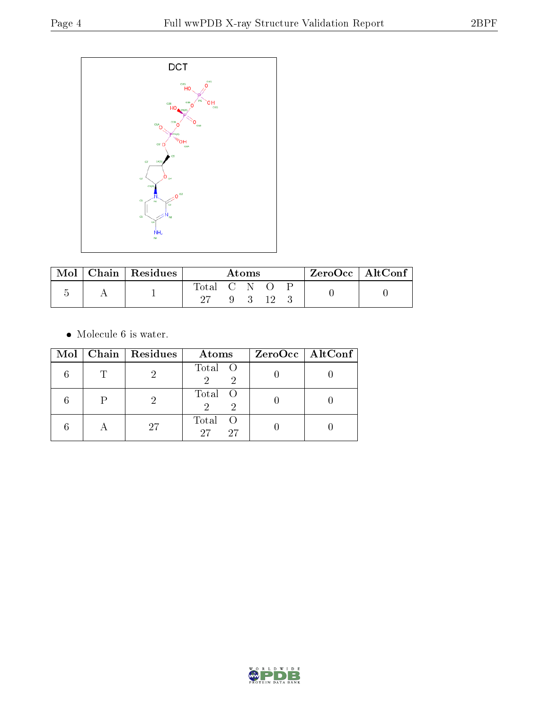

| Mol | Chain   Residues | Atoms         |  |             | ZeroOcc   AltConf |  |  |  |
|-----|------------------|---------------|--|-------------|-------------------|--|--|--|
|     |                  | Total C N O P |  |             |                   |  |  |  |
|     |                  |               |  | $9 \quad 3$ | - 19              |  |  |  |

 $\bullet\,$  Molecule 6 is water.

|           | Mol   Chain   Residues | Atoms                     | $ZeroOcc \   \ AltConf \  $ |
|-----------|------------------------|---------------------------|-----------------------------|
|           |                        | Total O                   |                             |
|           |                        | Total O<br>2              |                             |
| $\forall$ | 27                     | Total<br>- ()<br>27<br>27 |                             |

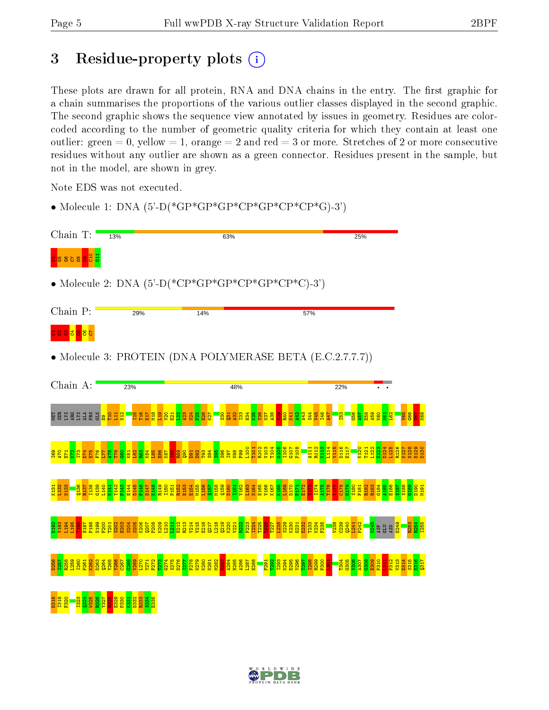# 3 Residue-property plots  $(i)$

These plots are drawn for all protein, RNA and DNA chains in the entry. The first graphic for a chain summarises the proportions of the various outlier classes displayed in the second graphic. The second graphic shows the sequence view annotated by issues in geometry. Residues are colorcoded according to the number of geometric quality criteria for which they contain at least one outlier: green  $= 0$ , yellow  $= 1$ , orange  $= 2$  and red  $= 3$  or more. Stretches of 2 or more consecutive residues without any outlier are shown as a green connector. Residues present in the sample, but not in the model, are shown in grey.

Note EDS was not executed.

• Molecule 1: DNA (5'-D(\*GP\*GP\*GP\*CP\*GP\*CP\*CP\*G)-3')



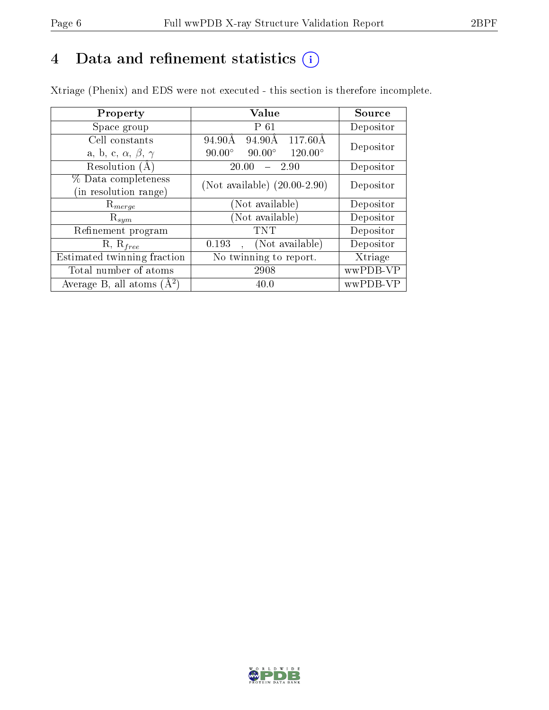## 4 Data and refinement statistics  $(i)$

Xtriage (Phenix) and EDS were not executed - this section is therefore incomplete.

| Property                               | Value                                              | Source    |  |
|----------------------------------------|----------------------------------------------------|-----------|--|
| Space group                            | $P_61$                                             | Depositor |  |
| Cell constants                         | $117.60\text{\AA}$<br>94.90Å<br>94.90Å             | Depositor |  |
| a, b, c, $\alpha$ , $\beta$ , $\gamma$ | $90.00^\circ$<br>$120.00^{\circ}$<br>$90.00^\circ$ |           |  |
| Resolution (A)                         | 20.00<br>2.90                                      | Depositor |  |
| % Data completeness                    | (Not available) $(20.00-2.90)$                     | Depositor |  |
| (in resolution range)                  |                                                    |           |  |
| $\mathrm{R}_{merge}$                   | (Not available)                                    | Depositor |  |
| $\mathrm{R}_{sym}$                     | (Not available)                                    | Depositor |  |
| Refinement program                     | TNT                                                | Depositor |  |
| $R, R_{free}$                          | (Not available)<br>0.193                           | Depositor |  |
| Estimated twinning fraction            | No twinning to report.                             | Xtriage   |  |
| Total number of atoms                  | 2908                                               | wwPDB-VP  |  |
| Average B, all atoms $(A^2)$           | 40.0                                               | wwPDB-VP  |  |

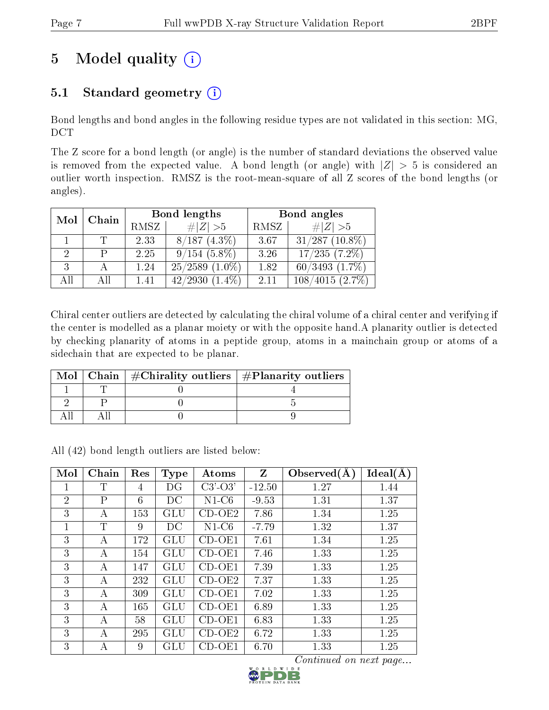# 5 Model quality  $(i)$

## 5.1 Standard geometry  $(i)$

Bond lengths and bond angles in the following residue types are not validated in this section: MG, DCT

The Z score for a bond length (or angle) is the number of standard deviations the observed value is removed from the expected value. A bond length (or angle) with  $|Z| > 5$  is considered an outlier worth inspection. RMSZ is the root-mean-square of all Z scores of the bond lengths (or angles).

|             |              |      | Bond lengths         | Bond angles |                     |  |
|-------------|--------------|------|----------------------|-------------|---------------------|--|
|             | Chain<br>Mol |      | # $ Z  > 5$          | RMSZ        | # $ Z >5$           |  |
|             |              | 2.33 | $8/187(4.3\%)$       | 3.67        | $31/287$ (10.8%)    |  |
| $2^{\circ}$ | р            | 2.25 | $9/154(5.8\%)$       | 3.26        | $17/235(7.2\%)$     |  |
| 3           |              | 1.24 | $25/2589$ $(1.0\%)$  | 1.82        | $60/3493$ $(1.7\%)$ |  |
| All         | Αll          | 1.41 | 42/2930<br>$(1.4\%)$ | 2.11        | 108/4015(2.7%)      |  |

Chiral center outliers are detected by calculating the chiral volume of a chiral center and verifying if the center is modelled as a planar moiety or with the opposite hand.A planarity outlier is detected by checking planarity of atoms in a peptide group, atoms in a mainchain group or atoms of a sidechain that are expected to be planar.

|  | Mol   Chain   $\#\text{Chirality outliers}$   $\#\text{Planarity outliers}$ |
|--|-----------------------------------------------------------------------------|
|  |                                                                             |
|  |                                                                             |
|  |                                                                             |

All (42) bond length outliers are listed below:

| Mol            | Chain        | Res | <b>Type</b> | Atoms     | Z        | Observed $(A)$ | Ideal(A) |
|----------------|--------------|-----|-------------|-----------|----------|----------------|----------|
|                | T            | 4   | DG          | $C3'-O3'$ | $-12.50$ | 1.27           | 1.44     |
| $\overline{2}$ | $\mathbf{P}$ | 6   | DC          | $N1-C6$   | $-9.53$  | 1.31           | 1.37     |
| 3              | А            | 153 | GLU         | $CD-OE2$  | 7.86     | 1.34           | 1.25     |
| 1              | T            | 9   | DC          | $N1-C6$   | $-7.79$  | 1.32           | 1.37     |
| 3              | A            | 172 | GLU         | CD-OE1    | 7.61     | 1.34           | 1.25     |
| 3              | A            | 154 | GLU         | $CD-OE1$  | 7.46     | 1.33           | 1.25     |
| 3              | А            | 147 | GLU         | $CD-OE1$  | 7.39     | 1.33           | 1.25     |
| 3              | А            | 232 | GLU         | $CD-OE2$  | 7.37     | 1.33           | 1.25     |
| 3              | $\mathbf{A}$ | 309 | GLU         | CD-OE1    | 7.02     | 1.33           | 1.25     |
| 3              | A            | 165 | GLU         | $CD-OE1$  | 6.89     | 1.33           | 1.25     |
| 3              | А            | 58  | GLU         | $CD-OE1$  | 6.83     | 1.33           | 1.25     |
| 3              | А            | 295 | GLU         | $CD-OE2$  | 6.72     | 1.33           | 1.25     |
| 3              | А            | 9   | GLU         | CD-OE1    | 6.70     | 1.33           | 1.25     |

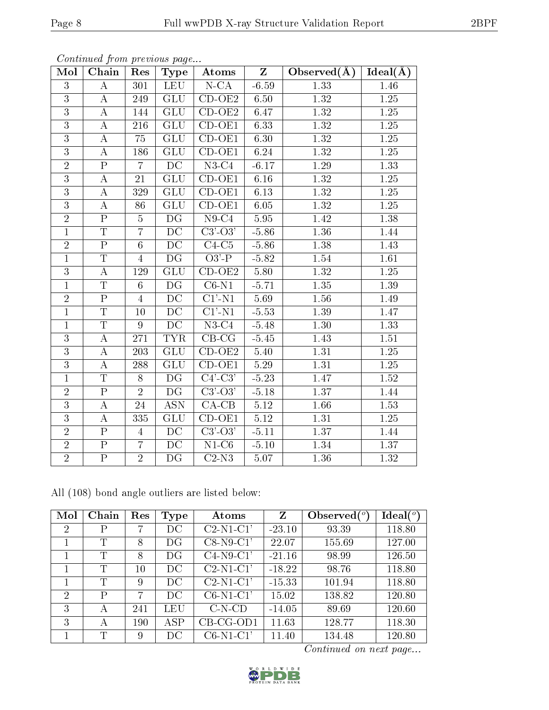| Mol            | Chain                   | Res              | Type                           | $\boldsymbol{\mathrm{Atoms}}$       | $\mathbf{Z}$ | Observed $(A)$    | Ideal(A)          |
|----------------|-------------------------|------------------|--------------------------------|-------------------------------------|--------------|-------------------|-------------------|
| $\overline{3}$ | $\bf{A}$                | 301              | <b>LEU</b>                     | $N$ -CA                             | $-6.59$      | 1.33              | 1.46              |
| $\overline{3}$ | $\boldsymbol{A}$        | 249              | GLU                            | $CD-OE2$                            | 6.50         | 1.32              | 1.25              |
| $\overline{3}$ | $\boldsymbol{A}$        | 144              | $\overline{\mathrm{GLU}}$      | $CD-OE2$                            | 6.47         | 1.32              | $\overline{1.25}$ |
| $\overline{3}$ | А                       | 216              | GLU                            | $CD-OE1$                            | 6.33         | 1.32              | 1.25              |
| $\overline{3}$ | $\boldsymbol{A}$        | 75               | GLU                            | $CD-OE1$                            | 6.30         | $\overline{1.32}$ | 1.25              |
| $\overline{3}$ | $\boldsymbol{A}$        | 186              | GLU                            | $CD-OE1$                            | 6.24         | 1.32              | 1.25              |
| $\overline{2}$ | $\overline{P}$          | $\overline{7}$   | DC                             | $N3-C4$                             | $-6.17$      | 1.29              | 1.33              |
| $\overline{3}$ | $\bf{A}$                | 21               | $\overline{\text{GL}}\text{U}$ | $CD-OE1$                            | 6.16         | 1.32              | 1.25              |
| 3              | А                       | 329              | GLU                            | $CD-OE1$                            | 6.13         | 1.32              | 1.25              |
| $\overline{3}$ | $\bf{A}$                | 86               | $\overline{\text{GLU}}$        | $CD-OE1$                            | 6.05         | 1.32              | $\overline{1.25}$ |
| $\overline{2}$ | $\overline{P}$          | $\overline{5}$   | $\overline{\mathrm{DG}}$       | $N9-C4$                             | 5.95         | 1.42              | 1.38              |
| $\mathbf{1}$   | $\overline{\text{T}}$   | $\overline{7}$   | $\overline{{\rm DC}}$          | $\overline{C3'$ - $\overline{O3'}}$ | $-5.86$      | 1.36              | 1.44              |
| $\overline{2}$ | $\overline{\mathrm{P}}$ | $\overline{6}$   | $\overline{DC}$                | $C4-C5$                             | $-5.86$      | 1.38              | 1.43              |
| $\mathbf{1}$   | $\overline{T}$          | $\overline{4}$   | DG                             | $\overline{O3'-P}$                  | $-5.82$      | 1.54              | 1.61              |
| $\overline{3}$ | $\overline{A}$          | 129              | GLU                            | $CD-OE2$                            | 5.80         | 1.32              | 1.25              |
| $\mathbf{1}$   | $\overline{T}$          | $6\phantom{.}6$  | DG                             | $C6-N1$                             | $-5.71$      | 1.35              | 1.39              |
| $\overline{2}$ | $\overline{P}$          | $\overline{4}$   | DC                             | $\overline{C1'$ -N1                 | 5.69         | 1.56              | 1.49              |
| $\mathbf{1}$   | $\overline{T}$          | 10               | $\overline{DC}$                | $\overline{C1'$ -N1                 | $-5.53$      | 1.39              | 1.47              |
| $\mathbf{1}$   | $\overline{\mathrm{T}}$ | $\overline{9}$   | DC                             | $N3-C4$                             | $-5.48$      | 1.30              | 1.33              |
| $\overline{3}$ | $\overline{\rm A}$      | $\overline{271}$ | <b>TYR</b>                     | $CB-CG$                             | $-5.45$      | 1.43              | 1.51              |
| $\overline{3}$ | $\bf{A}$                | 203              | GLU                            | $CD-OE2$                            | 5.40         | 1.31              | 1.25              |
| 3              | $\boldsymbol{A}$        | 288              | GLU                            | $CD-OE1$                            | 5.29         | 1.31              | 1.25              |
| $\mathbf{1}$   | $\overline{T}$          | 8                | DG                             | $C4$ ' $-C3$ '                      | $-5.23$      | 1.47              | 1.52              |
| $\overline{2}$ | $\overline{P}$          | $\overline{2}$   | DG                             | $C3'-O3'$                           | $-5.18$      | 1.37              | 1.44              |
| $\overline{3}$ | $\bf{A}$                | 24               | ASN                            | $CA-CB$                             | 5.12         | 1.66              | $1.53\,$          |
| 3              | $\bf{A}$                | 335              | GLU                            | $CD-OE1$                            | $5.12\,$     | 1.31              | 1.25              |
| $\overline{2}$ | $\overline{\mathrm{P}}$ | $\overline{4}$   | $\overline{DC}$                | $\overline{C3'$ - $O3'$             | $-5.11$      | 1.37              | 1.44              |
| $\overline{2}$ | $\overline{P}$          | $\overline{7}$   | DC                             | $\overline{\text{N1-C6}}$           | $-5.10$      | 1.34              | 1.37              |
| $\overline{2}$ | $\overline{\mathrm{P}}$ | $\sqrt{2}$       | DG                             | $C2-N3$                             | 5.07         | 1.36              | 1.32              |

All (108) bond angle outliers are listed below:

| Mol            | Chain | Res    | Type        | Atoms       | Z        | Observed $(°)$ | Ideal $(^\circ)$ |
|----------------|-------|--------|-------------|-------------|----------|----------------|------------------|
| $\overline{2}$ | Р     |        | DС          | $C2-N1-C1'$ | $-23.10$ | 93.39          | 118.80           |
|                | T     | 8      | DG          | $C8-N9-C1'$ | 22.07    | 155.69         | 127.00           |
|                | T     | 8      | DG          | $C4-N9-C1'$ | $-21.16$ | 98.99          | 126.50           |
|                | T     | $10\,$ | DC          | $C2-N1-C1'$ | $-18.22$ | 98.76          | 118.80           |
|                | T     | 9      | $_{\rm DC}$ | $C2-N1-C1'$ | $-15.33$ | 101.94         | 118.80           |
| 2              | P     | 7      | DC          | $C6-N1-C1'$ | 15.02    | 138.82         | 120.80           |
| 3              | А     | 241    | LEU         | $C-N-CD$    | $-14.05$ | 89.69          | 120.60           |
| 3              | А     | 190    | ASP         | $CB-CG-OD1$ | 11.63    | 128.77         | 118.30           |
|                | T     | 9      | DС          | $C6-N1-C1'$ | 11.40    | 134.48         | 120.80           |

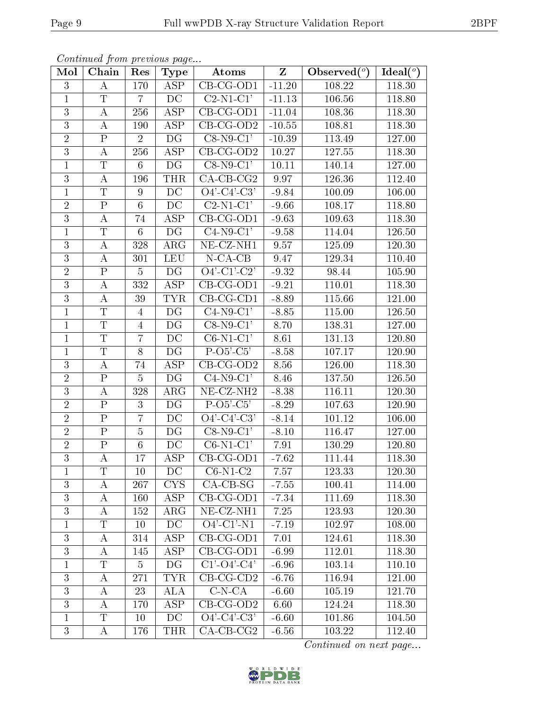| Mol            | Chain                   | Res            | <b>Type</b>              | Atoms                          | $\mathbf{Z}$ | Observed $(°)$ | Ideal $(°)$         |
|----------------|-------------------------|----------------|--------------------------|--------------------------------|--------------|----------------|---------------------|
| 3              | A                       | 170            | <b>ASP</b>               | $\overline{\text{CB-CG-OD1}}$  | $-11.20$     | 108.22         | 118.30              |
| $\mathbf{1}$   | $\overline{T}$          | $\overline{7}$ | DC                       | $C2-N1-C1'$                    | $-11.13$     | 106.56         | 118.80              |
| 3              | А                       | 256            | $\overline{\text{ASP}}$  | $CB-CG-OD1$                    | $-11.04$     | 108.36         | 118.30              |
| $\overline{3}$ | $\boldsymbol{A}$        | 190            | ASP                      | $CB-CG-OD2$                    | $-10.55$     | 108.81         | 118.30              |
| $\overline{2}$ | $\mathbf P$             | $\overline{2}$ | DG                       | $C8-N9-C1'$                    | $-10.39$     | 113.49         | $\overline{1}27.00$ |
| 3              | $\bf{A}$                | 256            | ASP                      | $CB-CG-OD2$                    | 10.27        | 127.55         | 118.30              |
| $\mathbf{1}$   | $\mathbf T$             | $6\phantom{.}$ | DG                       | $C8-N9-C1'$                    | 10.11        | 140.14         | 127.00              |
| $\overline{3}$ | $\bf{A}$                | 196            | <b>THR</b>               | $CA$ -CB-CG2                   | 9.97         | 126.36         | 112.40              |
| $\mathbf{1}$   | T                       | 9              | DC                       | $\overline{O4'-C4'-C3'}$       | $-9.84$      | 100.09         | 106.00              |
| $\overline{2}$ | $\overline{P}$          | $\overline{6}$ | $\overline{DC}$          | $C2-N1-C1'$                    | $-9.66$      | 108.17         | 118.80              |
| 3              | $\boldsymbol{A}$        | 74             | <b>ASP</b>               | $CB-CG-OD1$                    | $-9.63$      | 109.63         | 118.30              |
| $\mathbf{1}$   | $\overline{\mathrm{T}}$ | $6\phantom{.}$ | $\overline{\mathrm{DG}}$ | $C4-N9-C1'$                    | $-9.58$      | 114.04         | 126.50              |
| 3              | $\bf{A}$                | 328            | $\rm{ARG}$               | $\overline{\text{NE- CZ-NH1}}$ | 9.57         | 125.09         | 120.30              |
| 3              | $\bf{A}$                | 301            | <b>LEU</b>               | $N$ -CA-CB                     | 9.47         | 129.34         | $\overline{1}10.40$ |
| $\overline{2}$ | $\overline{P}$          | $\overline{5}$ | DG                       | $O4'-Cl'-C2'$                  | $-9.32$      | 98.44          | 105.90              |
| 3              | А                       | 332            | ASP                      | $CB-CG-OD1$                    | $-9.21$      | 110.01         | 118.30              |
| $\overline{3}$ | A                       | 39             | <b>TYR</b>               | $CB-CG-CD1$                    | $-8.89$      | 115.66         | 121.00              |
| $\mathbf{1}$   | $\mathbf T$             | $\overline{4}$ | DG                       | $C4-N9-C1'$                    | $-8.85$      | 115.00         | 126.50              |
| $\mathbf{1}$   | $\mathbf T$             | $\overline{4}$ | DG                       | $C8-N9-C1'$                    | 8.70         | 138.31         | 127.00              |
| $\mathbf{1}$   | $\overline{T}$          | $\overline{7}$ | DC                       | $C6-N1-C1'$                    | 8.61         | 131.13         | 120.80              |
| $\mathbf{1}$   | $\overline{T}$          | 8              | DG                       | $P-O5'-C5'$                    | $-8.58$      | 107.17         | 120.90              |
| 3              | А                       | 74             | $\overline{\text{ASP}}$  | $CB-CG-OD2$                    | 8.56         | 126.00         | 118.30              |
| $\overline{2}$ | ${\bf P}$               | $\overline{5}$ | DG                       | $C4-N9-C1'$                    | 8.46         | 137.50         | 126.50              |
| $\overline{3}$ | $\boldsymbol{A}$        | 328            | $\rm{ARG}$               | $NE- CZ-NH2$                   | $-8.38$      | 116.11         | 120.30              |
| $\sqrt{2}$     | $\overline{P}$          | 3              | DG                       | $P-O5'-C5'$                    | $-8.29$      | 107.63         | 120.90              |
| $\overline{2}$ | ${\bf P}$               | $\overline{7}$ | DC                       | $O4'-C4'-C3'$                  | $-8.14$      | 101.12         | 106.00              |
| $\overline{2}$ | $\overline{P}$          | $\overline{5}$ | DG                       | $C8-N9-C1'$                    | $-8.10$      | 116.47         | 127.00              |
| $\overline{2}$ | $\mathbf{P}$            | $6\phantom{.}$ | DC                       | $C6-N1-C1'$                    | 7.91         | 130.29         | 120.80              |
| $\overline{3}$ | $\boldsymbol{A}$        | 17             | $\overline{\text{ASP}}$  | $CB-CG-OD1$                    | $-7.62$      | 111.44         | 118.30              |
| $\perp$        | T                       | 10             | DC                       | $C6-N1-C2$                     | 7.57         | 123.33         | 120.30              |
| 3              | А                       | 267            | <b>CYS</b>               | $CA-CB-SG$                     | $-7.55$      | 100.41         | 114.00              |
| 3              | A                       | 160            | ASP                      | $CB-CG-OD1$                    | $-7.34$      | 111.69         | 118.30              |
| 3              | А                       | 152            | $\rm{ARG}$               | NE-CZ-NH1                      | 7.25         | 123.93         | 120.30              |
| $\mathbf 1$    | $\overline{\mathrm{T}}$ | 10             | DC                       | $O4'$ -C1'-N1                  | $-7.19$      | 102.97         | 108.00              |
| 3              | A                       | 314            | ASP                      | CB-CG-OD1                      | 7.01         | 124.61         | 118.30              |
| $\overline{3}$ | А                       | 145            | ASP                      | $CB-CG-OD1$                    | $-6.99$      | 112.01         | 118.30              |
| $\mathbf{1}$   | $\mathbf T$             | 5              | DG                       | $C1'$ -O4'-C4'                 | $-6.96$      | 103.14         | 110.10              |
| 3              | A                       | 271            | <b>TYR</b>               | $CB-CG-CD2$                    | $-6.76$      | 116.94         | 121.00              |
| 3              | А                       | 23             | ALA                      | $C-N-CA$                       | $-6.60$      | 105.19         | 121.70              |
| 3              | А                       | 170            | ASP                      | $CB-CG-OD2$                    | 6.60         | 124.24         | 118.30              |
| $\mathbf{1}$   | T                       | 10             | DC                       | $O4'-C4'-C3'$                  | $-6.60$      | 101.86         | 104.50              |
| 3              | $\bf{A}$                | 176            | <b>THR</b>               | $CA-CB-CG2$                    | $-6.56$      | 103.22         | 112.40              |

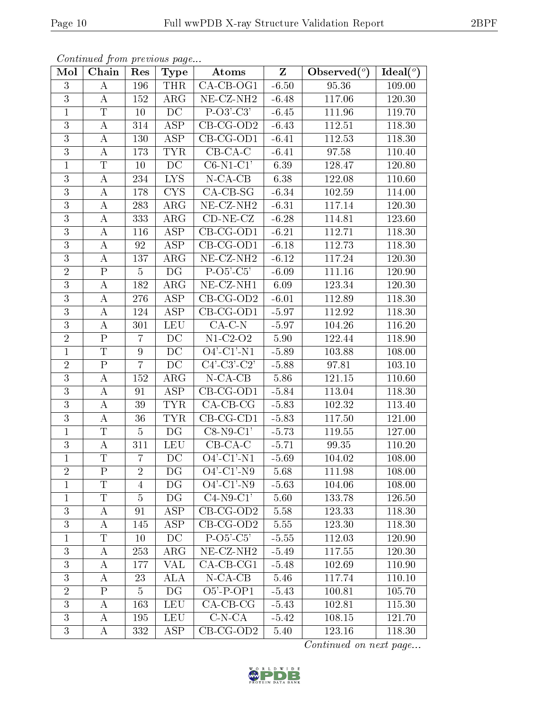| Mol            | Chain                   | Res              | <b>Type</b>              | Atoms                           | $Z_{\parallel}$ | Observed $(\overline{\overline{\circ}})$ | Ideal $\overline{(\,^o)}$ |
|----------------|-------------------------|------------------|--------------------------|---------------------------------|-----------------|------------------------------------------|---------------------------|
| 3              | A                       | 196              | <b>THR</b>               | $CA-CB-OG1$                     | $-6.50$         | 95.36                                    | 109.00                    |
| 3              | A                       | 152              | ARG                      | $NE- CZ-NH2$                    | $-6.48$         | 117.06                                   | 120.30                    |
| $\mathbf{1}$   | $\overline{T}$          | 10               | DC                       | $P-O3'-C3'$                     | $-6.45$         | 111.96                                   | 119.70                    |
| 3              | $\bf{A}$                | 314              | ASP                      | $CB-CG-OD2$                     | $-6.43$         | 112.51                                   | 118.30                    |
| $\overline{3}$ | A                       | $\overline{1}30$ | <b>ASP</b>               | $CB-CG-OD1$                     | $-6.41$         | 112.53                                   | 118.30                    |
| 3              | A                       | 173              | <b>TYR</b>               | $CB-CA-C$                       | $-6.41$         | 97.58                                    | 110.40                    |
| $\mathbf{1}$   | $\mathbf T$             | 10               | $D\overline{C}$          | $C6-N1-C1'$                     | 6.39            | 128.47                                   | 120.80                    |
| 3              | $\bf{A}$                | 234              | LYS.                     | $N-CA-CB$                       | 6.38            | 122.08                                   | 110.60                    |
| $\overline{3}$ | $\bf{A}$                | 178              | <b>CYS</b>               | $CA-CB-SG$                      | $-6.34$         | 102.59                                   | 114.00                    |
| $\overline{3}$ | $\boldsymbol{A}$        | 283              | ARG                      | $NE- CZ-NH2$                    | $-6.31$         | 117.14                                   | 120.30                    |
| $\overline{3}$ | $\bf{A}$                | 333              | $\rm{ARG}$               | $CD-NE- CZ$                     | $-6.28$         | 114.81                                   | 123.60                    |
| $\overline{3}$ | $\bf{A}$                | 116              | ASP                      | $\overline{\text{CB}}$ -CG-OD1  | $-6.21$         | 112.71                                   | 118.30                    |
| $\overline{3}$ | $\bf{A}$                | 92               | <b>ASP</b>               | $CB-CG-OD1$                     | $-6.18$         | 112.73                                   | 118.30                    |
| $\overline{3}$ | $\bf{A}$                | 137              | ${\rm ARG}$              | NE-CZ-NH <sub>2</sub>           | $-6.12$         | 117.24                                   | 120.30                    |
| $\overline{2}$ | $\overline{P}$          | $\overline{5}$   | $\overline{\mathrm{DG}}$ | $P-O5'C5'$                      | $-6.09$         | 111.16                                   | 120.90                    |
| 3              | $\bf{A}$                | 182              | $\rm{ARG}$               | $NE- CZ-NH1$                    | 6.09            | 123.34                                   | 120.30                    |
| $\overline{3}$ | A                       | 276              | <b>ASP</b>               | $CB-CG-OD2$                     | $-6.01$         | 112.89                                   | 118.30                    |
| $\mathbf{3}$   | $\bf{A}$                | 124              | <b>ASP</b>               | $CB-CG-OD1$                     | $-5.97$         | 112.92                                   | 118.30                    |
| $\overline{3}$ | А                       | 301              | <b>LEU</b>               | $CA-C-N$                        | $-5.97$         | 104.26                                   | 116.20                    |
| $\overline{2}$ | $\overline{P}$          | $\overline{7}$   | DC                       | $N1-C2-O2$                      | 5.90            | 122.44                                   | 118.90                    |
| $\mathbf{1}$   | $\overline{T}$          | 9                | DC                       | $O4'$ -C1'-N1                   | $-5.89$         | 103.88                                   | 108.00                    |
| $\overline{2}$ | $\overline{\mathrm{P}}$ | $\overline{7}$   | DC                       | $\overline{C4'$ - $C3'$ - $C2'$ | $-5.88$         | 97.81                                    | 103.10                    |
| $\overline{3}$ | A                       | 152              | $\rm{ARG}$               | $N$ -CA-CB                      | 5.86            | 121.15                                   | 110.60                    |
| $\overline{3}$ | A                       | 91               | ASP                      | $\overline{\text{CB-CG-OD1}}$   | $-5.84$         | 113.04                                   | 118.30                    |
| 3              | A                       | 39               | <b>TYR</b>               | $CA$ -CB-CG                     | $-5.83$         | 102.32                                   | 113.40                    |
| 3              | $\bf{A}$                | 36               | <b>TYR</b>               | $CB-CG-CD1$                     | $-5.83$         | 117.50                                   | 121.00                    |
| $\mathbf{1}$   | T                       | $\overline{5}$   | DG                       | $C8-N9-C1'$                     | $-5.73$         | 119.55                                   | 127.00                    |
| $\overline{3}$ | $\bf{A}$                | 311              | <b>LEU</b>               | $CB-CA-C$                       | $-5.71$         | 99.35                                    | 110.20                    |
| $\overline{1}$ | $\overline{T}$          | $\overline{7}$   | DC                       | $\overline{O4'-C1'-N1}$         | $-5.69$         | 104.02                                   | 108.00                    |
| $\overline{2}$ | $\mathbf P$             | $\overline{2}$   | DG                       | $O4'$ -C1'-N9                   | 5.68            | 111.98                                   | 108.00                    |
| 1              | T                       | 4                | DG                       | $O4'$ -C1'-N9                   | $-5.63$         | 104.06                                   | 108.00                    |
| $\mathbf{1}$   | $\overline{T}$          | $\overline{5}$   | DG                       | $C4-N9-C1'$                     | 5.60            | 133.78                                   | 126.50                    |
| $\mathfrak{Z}$ | A                       | 91               | ASP                      | $CB-CG-OD2$                     | 5.58            | 123.33                                   | 118.30                    |
| $\overline{3}$ | А                       | 145              | ASP                      | $CB-CG-OD2$                     | 5.55            | 123.30                                   | 118.30                    |
| 1              | T                       | 10               | DC                       | $P-O5'-C5'$                     | $-5.55$         | 112.03                                   | 120.90                    |
| 3              | А                       | 253              | $\rm{ARG}$               | NE-CZ-NH <sub>2</sub>           | $-5.49$         | 117.55                                   | 120.30                    |
| 3              | A                       | 177              | VAL                      | $CA$ -CB-CG1                    | $-5.48$         | 102.69                                   | 110.90                    |
| $\overline{3}$ | А                       | 23               | <b>ALA</b>               | $N$ -CA-CB                      | 5.46            | 117.74                                   | 110.10                    |
| $\overline{2}$ | $\mathbf P$             | 5                | DG                       | $O5'$ -P-OP1                    | $-5.43$         | 100.81                                   | 105.70                    |
| 3              | A                       | 163              | <b>LEU</b>               | $CA$ -CB-CG                     | $-5.43$         | 102.81                                   | 115.30                    |
| $\overline{3}$ | A                       | 195              | <b>LEU</b>               | $C-N-CA$                        | $-5.42$         | 108.15                                   | 121.70                    |
| 3              | A                       | 332              | <b>ASP</b>               | $CB-CG-OD2$                     | 5.40            | 123.16                                   | 118.30                    |

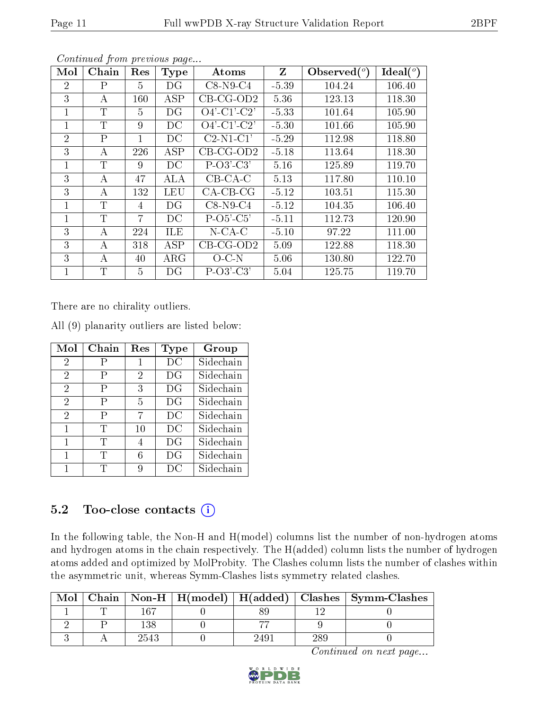| Mol            | Chain        | Res            | <b>Type</b> | Atoms          | $\mathbf{Z}$ | Observed $(°)$ | Ideal $(°)$ |
|----------------|--------------|----------------|-------------|----------------|--------------|----------------|-------------|
| $\overline{2}$ | $\mathbf{P}$ | 5              | DG          | $C8-N9-C4$     | $-5.39$      | 104.24         | 106.40      |
| 3              | А            | 160            | <b>ASP</b>  | $CB-CG-OD2$    | 5.36         | 123.13         | 118.30      |
| 1              | T            | 5              | DG          | $O4'-C1'-C2'$  | $-5.33$      | 101.64         | 105.90      |
| 1              | $\mathbf T$  | 9              | DC          | $O4'$ -C1'-C2' | $-5.30$      | 101.66         | 105.90      |
| $\overline{2}$ | $\mathsf{P}$ | 1              | DC          | $C2-N1-C1'$    | $-5.29$      | 112.98         | 118.80      |
| 3              | А            | 226            | ASP         | $CB$ -CG-OD2   | $-5.18$      | 113.64         | 118.30      |
| 1              | $\mathbf T$  | 9              | DC          | $P-O3'-C3'$    | 5.16         | 125.89         | 119.70      |
| 3              | А            | 47             | ALA         | $CB-CA-C$      | 5.13         | 117.80         | 110.10      |
| 3              | А            | 132            | LEU         | $CA-CB-CG$     | $-5.12$      | 103.51         | 115.30      |
| 1              | $\mathbf T$  | 4              | DG          | $C8-N9-C4$     | $-5.12$      | 104.35         | 106.40      |
| 1              | T            | $\overline{7}$ | DC          | $P-O5'-C5'$    | $-5.11$      | 112.73         | 120.90      |
| 3              | А            | 224            | <b>ILE</b>  | $N$ -CA-C      | $-5.10$      | 97.22          | 111.00      |
| 3              | А            | 318            | ASP         | $CB-CG-OD2$    | 5.09         | 122.88         | 118.30      |
| 3              | А            | 40             | $\rm{ARG}$  | $O-C N$        | 5.06         | 130.80         | 122.70      |
| 1              | T            | 5              | DG          | $P-O3'-C3'$    | 5.04         | 125.75         | 119.70      |

There are no chirality outliers.

| Mol            | Chain | $\operatorname{Res}% \left( \mathcal{N}\right) \equiv\operatorname{Res}(\mathcal{N}_{0})\cap\mathcal{N}_{1}$ | Type        | Group     |
|----------------|-------|--------------------------------------------------------------------------------------------------------------|-------------|-----------|
| $\overline{2}$ |       | 1                                                                                                            | DC          | Sidechain |
| $\overline{2}$ | P     | 2                                                                                                            | $_{\rm DG}$ | Sidechain |
| $\overline{2}$ | P     | 3                                                                                                            | DG          | Sidechain |
| $\overline{2}$ | Ρ     | 5                                                                                                            | DG          | Sidechain |
| $\overline{2}$ | Ρ     | 7                                                                                                            | DC          | Sidechain |
| 1              | T     | 10                                                                                                           | DС          | Sidechain |
|                | T     | 4                                                                                                            | DG          | Sidechain |
| 1              | T     | 6                                                                                                            | DG          | Sidechain |
|                | T     | Q                                                                                                            | DC          | Sidechain |

All (9) planarity outliers are listed below:

### 5.2 Too-close contacts  $(i)$

In the following table, the Non-H and H(model) columns list the number of non-hydrogen atoms and hydrogen atoms in the chain respectively. The H(added) column lists the number of hydrogen atoms added and optimized by MolProbity. The Clashes column lists the number of clashes within the asymmetric unit, whereas Symm-Clashes lists symmetry related clashes.

| Mol |      |      |     | Chain   Non-H   H(model)   H(added)   Clashes   Symm-Clashes |
|-----|------|------|-----|--------------------------------------------------------------|
|     | 167  |      |     |                                                              |
|     |      |      |     |                                                              |
|     | 2543 | 249. | 289 |                                                              |

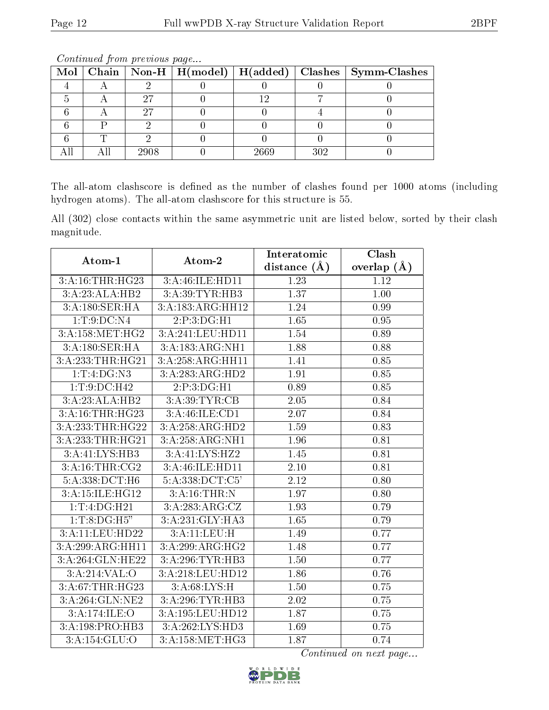|  |      |      |     | Mol   Chain   Non-H   H(model)   H(added)   Clashes   Symm-Clashes |
|--|------|------|-----|--------------------------------------------------------------------|
|  |      |      |     |                                                                    |
|  |      |      |     |                                                                    |
|  |      |      |     |                                                                    |
|  |      |      |     |                                                                    |
|  |      |      |     |                                                                    |
|  | 2908 | 2669 | 302 |                                                                    |

The all-atom clashscore is defined as the number of clashes found per 1000 atoms (including hydrogen atoms). The all-atom clashscore for this structure is 55.

All (302) close contacts within the same asymmetric unit are listed below, sorted by their clash magnitude.

| Atom-1           | Atom-2              | Interatomic       | Clash           |
|------------------|---------------------|-------------------|-----------------|
|                  |                     | distance $(\AA)$  | overlap $(\AA)$ |
| 3:A:16:THR:HG23  | 3:A:46:ILE:HD11     | 1.23              | 1.12            |
| 3:A:23:ALA:HB2   | 3:A:39:TYR:HB3      | 1.37              | 1.00            |
| 3:A:180:SER:HA   | 3:A:183:ARG:HH12    | 1.24              | 0.99            |
| 1: T: 9: DC: N4  | 2:P:3:DG:H1         | $\overline{1.65}$ | 0.95            |
| 3:A:158:MET:HG2  | 3:A:241:LEU:HD11    | 1.54              | 0.89            |
| 3:A:180:SER:HA   | 3:A:183:ARG:NH1     | 1.88              | 0.88            |
| 3:A:233:THR:HG21 | 3:A:258:ARG:HH11    | 1.41              | 0.85            |
| 1: T: 4: DG: N3  | 3:A:283:ARG:HD2     | 1.91              | 0.85            |
| 1: T: 9: DC: H42 | 2:P:3:DG:HI         | 0.89              | 0.85            |
| 3:A:23:ALA:HB2   | 3:A:39:TYR:CB       | 2.05              | 0.84            |
| 3:A:16:THR:HG23  | 3:A:46:ILE:CD1      | 2.07              | 0.84            |
| 3:A:233:THR:HG22 | 3:A:258:ARG:HD2     | 1.59              | 0.83            |
| 3:A:233:THR:HG21 | 3:A:258:ARG:NH1     | 1.96              | 0.81            |
| 3:A:41:LYS:HB3   | 3:A:41:LYS:HZ2      | 1.45              | 0.81            |
| 3:A:16:THR:CG2   | 3:A:46:ILE:HD11     | 2.10              | 0.81            |
| 5:A:338:DCT:H6   | 5: A: 338: DCT: C5' | $\overline{2.12}$ | 0.80            |
| 3:A:15:ILE:HG12  | 3:A:16:THR:N        | 1.97              | 0.80            |
| 1:T:4:DG:H21     | 3:A:283:ARG:CZ      | 1.93              | 0.79            |
| 1:T:8:DG:H5"     | 3:A:231:GLY:HA3     | 1.65              | 0.79            |
| 3:A:11:LEU:HD22  | 3:A:11:LEU:H        | 1.49              | 0.77            |
| 3:A:299:ARG:HH11 | 3:A:299:ARG:HG2     | 1.48              | 0.77            |
| 3:A:264:GLN:HE22 | 3:A:296:TYR:HB3     | 1.50              | 0.77            |
| 3:A:214:VAL:O    | 3:A:218:LEU:HD12    | 1.86              | 0.76            |
| 3:A:67:THR:HG23  | 3:A:68:LYS:H        | 1.50              | 0.75            |
| 3:A:264:GLN:NE2  | 3: A:296:TYR:HB3    | 2.02              | 0.75            |
| 3:A:174:ILE:O    | 3:A:195:LEU:HD12    | 1.87              | 0.75            |
| 3:A:198:PRO:HB3  | $3:$ A:262:LYS:HD3  | 1.69              | 0.75            |
| 3:A:154:GLU:O    | 3: A:158:MET:HG3    | 1.87              | 0.74            |

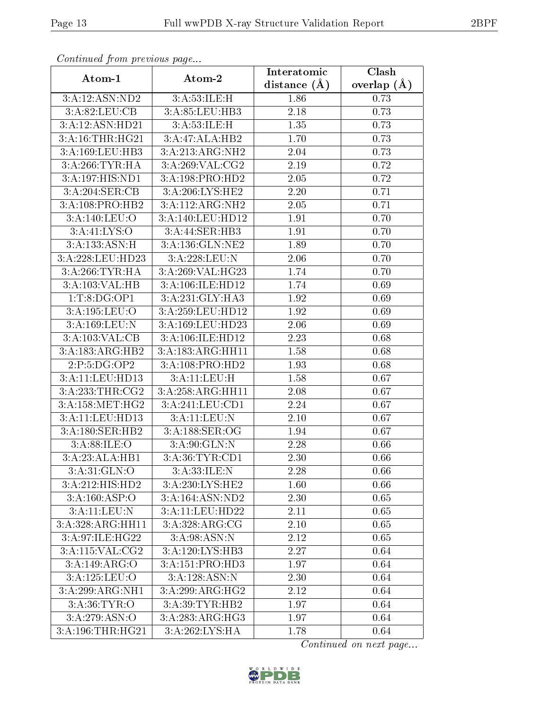| communa jioin premas page            |                                               | Interatomic    | Clash             |
|--------------------------------------|-----------------------------------------------|----------------|-------------------|
| Atom-1                               | Atom-2                                        | distance $(A)$ | overlap $(\AA)$   |
| 3:A:12:ASN:ND2                       | $3:$ A:53:ILE:H                               | 1.86           | 0.73              |
| 3: A:82: LEU: CB                     | 3:A:85:LEU:HB3                                | 2.18           | 0.73              |
| 3:A:12:ASN:HD21                      | 3: A:53: ILE:H                                | 1.35           | 0.73              |
| 3:A:16:THR:HG21                      | 3:A:47:ALA:HB2                                | 1.70           | 0.73              |
| 3:A:169:LEU:HB3                      | 3:A:213:ARG:NH2                               | 2.04           | 0.73              |
| 3:A:266:TYR:HA                       | 3:A:269:VAL:CG2                               | 2.19           | 0.72              |
| 3:A:197:HIS:ND1                      | 3:A:198:PRO:HD2                               | 2.05           | 0.72              |
| 3:A:204:SER:CB                       | 3:A:206:LYS:HE2                               | 2.20           | 0.71              |
| 3:A:108:PRO:HB2                      | 3:A:112:ARG:NH2                               | 2.05           | 0.71              |
| 3:A:140:LEU:O                        | 3:A:140:LEU:HD12                              | 1.91           | 0.70              |
| 3: A: 41: LYS: O                     | 3:A:44:SER:HB3                                | 1.91           | 0.70              |
| 3:A:133:ASN:H                        | 3:A:136:GLN:NE2                               | 1.89           | 0.70              |
| $3:\overline{A}:228:\text{LEU}:HD23$ | 3:A:228:LEU:N                                 | 2.06           | 0.70              |
| 3:A:266:TYR:HA                       | 3:A:269:VAL:HG23                              | 1.74           | 0.70              |
| 3:A:103:VAL:HB                       | 3:A:106:ILE:HD12                              | 1.74           | 0.69              |
| 1: T: 8: DG: OP1                     | 3:A:231:GLY:HA3                               | 1.92           | 0.69              |
| 3:A:195:LEU:O                        | 3:A:259:LEU:HD12                              | 1.92           | 0.69              |
| 3:A:169:LEU:N                        | 3:A:169:LEU:HD23                              | 2.06           | 0.69              |
| 3:A:103:VAL:CB                       | 3:A:106:ILE:HD12                              | 2.23           | 0.68              |
| 3:A:183:ARG:HB2                      | 3:A:183:ARG:HH11                              | 1.58           | 0.68              |
| 2:P:5:DG:OP2                         | 3:A:108:PRO:HD2                               | 1.93           | 0.68              |
| 3:A:11:LEU:HD13                      | 3:A:11:LEU:H                                  | 1.58           | 0.67              |
| 3:A:233:THR:CG2                      | 3:A:258:ARG:HH11                              | 2.08           | 0.67              |
| 3:A:158:MET:HG2                      | 3:A:241:LEU:CD1                               | 2.24           | 0.67              |
| 3:A:11:LEU:HD13                      | 3:A:11:LEU:N                                  | 2.10           | 0.67              |
| 3:A:180:SER:HB2                      | $3:\overline{A:188:\overline{\text{SER}:OG}}$ | 1.94           | 0.67              |
| 3: A:88: ILE: O                      | 3: A:90: GLN:N                                | 2.28           | 0.66              |
| 3:A:23:ALA:HB1                       | 3:A:36:TYR:CD1                                | 2.30           | 0.66              |
| 3: A:31: GLN:O                       | 3:A:33:ILE:N                                  | 2.28           | 0.66              |
| 3:A:212:HIS:HD2                      | 3:A:230:LYS:HE2                               | 1.60           | 0.66              |
| 3:A:160:ASP:O                        | 3:A:164:ASN:ND2                               | 2.30           | 0.65              |
| 3:A:11:LEU:N                         | 3:A:11:LEU:HD22                               | 2.11           | 0.65              |
| 3:A:328:ARG:HH11                     | 3:A:328:ARG:CG                                | 2.10           | $\overline{0.65}$ |
| 3:A:97:ILE:HG22                      | 3: A:98: ASN:N                                | 2.12           | 0.65              |
| 3:A:115:VAL:CG2                      | 3:A:120:LYS:HB3                               | 2.27           | 0.64              |
| 3:A:149:ARG:O                        | 3:A:151:PRO:HD3                               | 1.97           | 0.64              |
| 3:A:125:LEU:O                        | 3:A:128:ASN:N                                 | 2.30           | 0.64              |
| 3:A:299:ARG:NH1                      | 3:A:299:ARG:HG2                               | 2.12           | 0.64              |
| 3: A:36: TYR:O                       | 3:A:39:TYR:HB2                                | 1.97           | 0.64              |
| 3:A:279:ASN:O                        | 3:A:283:ARG:HG3                               | 1.97           | 0.64              |
| 3:A:196:THR:HG21                     | 3:A:262:LYS:HA                                | 1.78           | 0.64              |

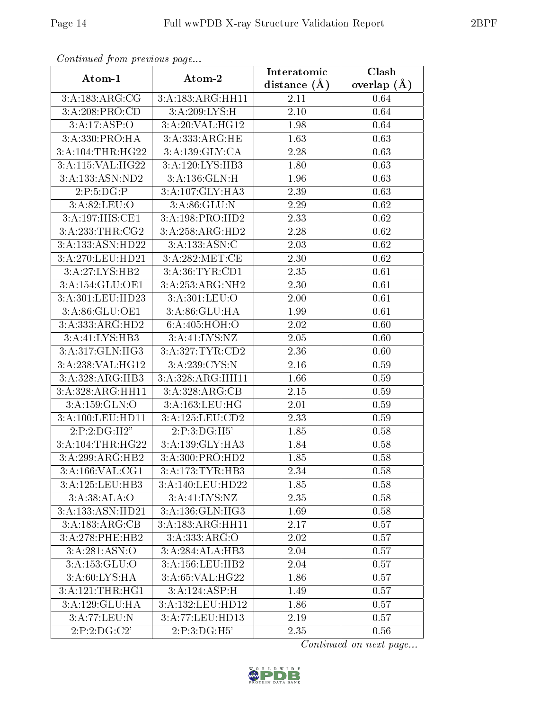| Continuatu jibin previous puge |                     | Clash<br>Interatomic |                 |  |
|--------------------------------|---------------------|----------------------|-----------------|--|
| Atom-1                         | Atom-2              | distance $(A)$       | overlap $(\AA)$ |  |
| 3:A:183:ARG:CG                 | 3:A:183:ARG:HH11    | 2.11                 | 0.64            |  |
| 3:A:208:PRO:CD                 | 3:A:209:LYS:H       | 2.10                 | 0.64            |  |
| 3:A:17:ASP:O                   | 3:A:20:VAL:HG12     | 1.98                 | 0.64            |  |
| 3:A:330:PRO:HA                 | 3:A:333:ARG:HE      | 1.63                 | 0.63            |  |
| 3:A:104:THR:HG22               | 3:A:139:GLY:CA      | 2.28                 | 0.63            |  |
| 3:A:115:VAL:HG22               | 3:A:120:LYS:HB3     | 1.80                 | 0.63            |  |
| 3:A:133:ASN:ND2                | 3:A:136:GLN:H       | 1.96                 | 0.63            |  |
| 2:P:5:DG:P                     | 3:A:107:GLY:HA3     | 2.39                 | 0.63            |  |
| 3:A:82:LEU:O                   | 3: A:86: GLU:N      | 2.29                 | 0.62            |  |
| 3:A:197:HIS:CE1                | 3:A:198:PRO:HD2     | 2.33                 | 0.62            |  |
| 3:A:233:THR:CG2                | 3: A: 258: ARG: HD2 | 2.28                 | 0.62            |  |
| 3:A:133:ASN:HD22               | 3:A:133:ASN:C       | 2.03                 | 0.62            |  |
| 3:A:270:LEU:HD21               | 3:A:282:MET:CE      | 2.30                 | 0.62            |  |
| 3:A:27:LYS:HB2                 | 3:A:36:TYR:CD1      | 2.35                 | 0.61            |  |
| 3:A:154:GLU:OE1                | 3:A:253:ARG:NH2     | 2.30                 | 0.61            |  |
| 3:A:301:LEU:HD23               | 3:A:301:LEU:O       | 2.00                 | 0.61            |  |
| 3:A:86:GLU:OE1                 | 3:A:86:GLU:HA       | 1.99                 | 0.61            |  |
| 3:A:333:ARG:HD2                | 6:A:405:HOH:O       | 2.02                 | 0.60            |  |
| 3:A:41:LYS:HB3                 | 3:A:41:LYS:NZ       | 2.05                 | 0.60            |  |
| 3:A:317:GLN:HG3                | 3:A:327:TYR:CD2     | 2.36                 | 0.60            |  |
| 3:A:238:VAL:HG12               | 3:A:239:CYS:N       | 2.16                 | 0.59            |  |
| 3:A:328:ARG:HB3                | 3:A:328:ARG:HH11    | 1.66                 | 0.59            |  |
| 3:A:328:ARG:HH11               | 3:A:328:ARG:CB      | 2.15                 | 0.59            |  |
| 3:A:159:GLN:O                  | 3:A:163:LEU:HG      | 2.01                 | 0.59            |  |
| 3:A:100:LEU:HD11               | 3:A:125:LEU:CD2     | 2.33                 | 0.59            |  |
| 2:P:2:DG:H2"                   | 2:P:3:DG:H5'        | 1.85                 | 0.58            |  |
| 3:A:104:THR:HG22               | 3:A:139:GLY:HA3     | 1.84                 | 0.58            |  |
| 3:A:299:ARG:HB2                | 3:A:300:PRO:HD2     | 1.85                 | 0.58            |  |
| 3:A:166:VAL:CG1                | 3:A:173:TYR:HB3     | 2.34                 | 0.58            |  |
| 3:A:125:LEU:HB3                | 3:A:140:LEU:HD22    | 1.85                 | 0.58            |  |
| 3: A:38: ALA:O                 | 3:A:41:LYS:NZ       | 2.35                 | 0.58            |  |
| 3:A:133:ASN:HD21               | 3:A:136:GLN:HG3     | 1.69                 | 0.58            |  |
| 3:A:183:ARG:CB                 | 3:A:183:ARG:HH11    | 2.17                 | 0.57            |  |
| 3:A:278:PHE:HB2                | 3: A: 333:ARG:O     | 2.02                 | 0.57            |  |
| 3:A:281:ASN:O                  | 3: A:284:ALA:HBB    | 2.04                 | 0.57            |  |
| 3:A:153:GLU:O                  | 3:A:156:LEU:HB2     | $2.\overline{04}$    | 0.57            |  |
| 3:A:60:LYS:HA                  | 3:A:65:VAL:HG22     | 1.86                 | 0.57            |  |
| 3:A:121:THR:HGI                | 3:A:124:ASP:H       | 1.49                 | 0.57            |  |
| 3:A:129:GLU:HA                 | 3:A:132:LEU:HD12    | 1.86                 | 0.57            |  |
| 3:A:77:LEU:N                   | 3:A:77:LEU:HD13     | 2.19                 | 0.57            |  |
| 2:P:2:DG:C2'                   | 2:P:3:DG:H5'        | 2.35                 | 0.56            |  |

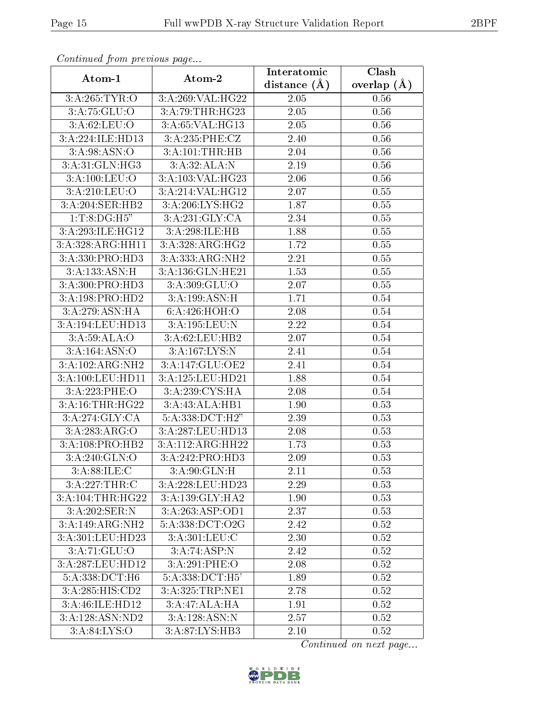| Continuea from previous page |                           | Interatomic    | Clash         |
|------------------------------|---------------------------|----------------|---------------|
| Atom-1                       | Atom-2                    | distance $(A)$ | overlap $(A)$ |
| 3:A:265:TYR:O                | 3:A:269:VAL:HG22          | 2.05           | 0.56          |
| 3:A:75:GLU:O                 | 3:A:79:THR:HG23           | 2.05           | 0.56          |
| 3: A:62:LEU:O                | 3:A:65:VAL:HG13           | 2.05           | 0.56          |
| 3:A:224:ILE:HD13             | 3:A:235:PHE:CZ            | 2.40           | 0.56          |
| 3: A:98: ASN:O               | 3:A:101:THR:HB            | 2.04           | 0.56          |
| 3:A:31:GLN:HG3               | 3:A:32:ALA:N              | 2.19           | 0.56          |
| 3:A:100:LEU:O                | 3:A:103:VAL:HG23          | 2.06           | $0.56\,$      |
| 3:A:210:LEU:O                | 3:A:214:VAL:HG12          | 2.07           | 0.55          |
| 3:A:204:SER:HB2              | 3:A:206:LYS:HG2           | 1.87           | 0.55          |
| 1: T: 8: DG: H5"             | 3:A:231:GLY:CA            | 2.34           | 0.55          |
| 3:A:293:ILE:HG12             | 3:A:298:ILE:HB            | 1.88           | 0.55          |
| 3:A:328:ARG:HH11             | 3:A:328:ARG:HG2           | 1.72           | 0.55          |
| 3:A:330:PRO:HD3              | 3:A:333:ARG:NH2           | 2.21           | 0.55          |
| 3:A:133:ASN:H                | 3:A:136:GLN:HE21          | 1.53           | 0.55          |
| 3:A:300:PRO:HD3              | 3:A:309:GLU:O             | 2.07           | 0.55          |
| 3:A:198:PRO:HD2              | 3:A:199:ASN:H             | 1.71           | 0.54          |
| 3:A:279:ASN:HA               | 6:A:426:HOH:O             | 2.08           | 0.54          |
| 3:A:194:LEU:HD13             | 3:A:195:LEU:N             | 2.22           | 0.54          |
| 3:A:59:ALA:O                 | $3:$ A:62:LEU:HB2         | 2.07           | 0.54          |
| 3:A:164:ASN:O                | 3:A:167:LYS:N             | 2.41           | 0.54          |
| 3:A:102:ARG:NH2              | 3:A:147:GLU:OE2           | 2.41           | 0.54          |
| 3:A:100:LEU:HD11             | 3:A:125:LEU:HD21          | 1.88           | 0.54          |
| 3:A:223:PHE:O                | 3:A:239:CYS:HA            | 2.08           | 0.54          |
| 3:A:16:THR:HG22              | 3:A:43:ALA:HB1            | 1.90           | 0.53          |
| 3: A:274: GLY: CA            | 5:A:338:DCT:H2"           | 2.39           | 0.53          |
| 3:A:283:ARG:O                | 3:A:287:LEU:HD13          | 2.08           | 0.53          |
| 3:A:108:PRO:HB2              | 3:A:112:ARG:HH22          | 1.73           | 0.53          |
| 3: A:240: GLN:O              | 3:A:242:PRO:HD3           | 2.09           | 0.53          |
| 3:A:88:ILE:C                 | 3:A:90:GLN:H              | 2.11           | 0.53          |
| 3:A:227:THR:C                | 3:A:228:LEU:HD23          | 2.29           | 0.53          |
| 3:A:104:THR:HG22             | 3:A:139:GLY:HA2           | 1.90           | 0.53          |
| 3:A:202:SER:N                | 3:A:263:ASP:OD1           | 2.37           | 0.53          |
| 3:A:149:ARG:NH2              | 5:A:338:DCT:O2G           | 2.42           | 0.52          |
| 3:A:301:LEU:HD23             | 3:A:301:LEU:C             | 2.30           | 0.52          |
| 3:A:71:GLU:O                 | $3:A:74:ASP:\overline{N}$ | 2.42           | 0.52          |
| 3:A:287:LEU:HD12             | 3:A:291:PHE:O             | 2.08           | 0.52          |
| 5:A:338:DCT:H6               | 5:A:338:DCT:H5'           | 1.89           | 0.52          |
| 3:A:285:HIS:CD2              | 3:A:325:TRP:NE1           | 2.78           | 0.52          |
| 3:A:46:ILE:HD12              | 3:A:47:ALA:HA             | 1.91           | 0.52          |
| 3:A:128:ASN:ND2              | 3: A: 128: ASN: N         | 2.57           | 0.52          |
| 3:A:84:LYS:O                 | 3:A:87:LYS:HB3            | 2.10           | 0.52          |

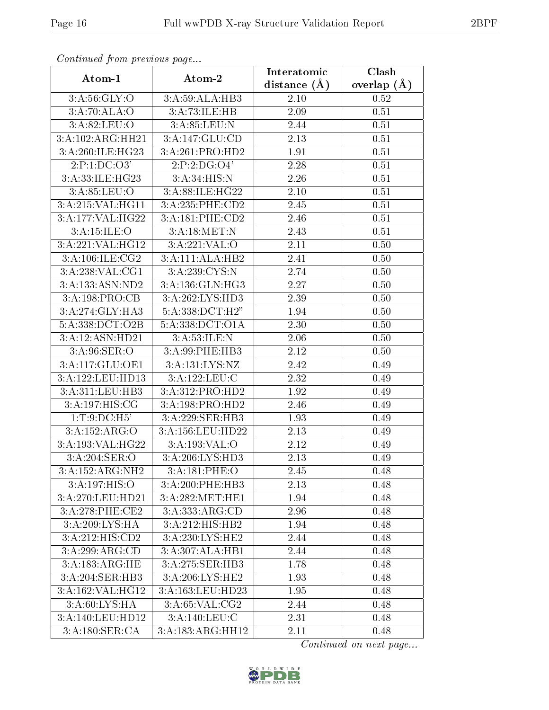| Continuati prom provious pago |                                     | Interatomic    | Clash         |
|-------------------------------|-------------------------------------|----------------|---------------|
| Atom-1                        | Atom-2                              | distance $(A)$ | overlap $(A)$ |
| 3: A:56: GLY:O                | 3:A:59:ALA:HB3                      | 2.10           | 0.52          |
| 3:A:70:ALA:O                  | 3:A:73:ILE:HB                       | 2.09           | 0.51          |
| 3: A:82: LEU:O                | 3: A:85:LEU:N                       | 2.44           | 0.51          |
| 3:A:102:ARG:HH21              | 3:A:147:GLU:CD                      | 2.13           | 0.51          |
| 3:A:260:ILE:HG23              | 3:A:261:PRO:HD2                     | 1.91           | 0.51          |
| 2:P:1:DC:O3'                  | 2:P:2:DG:O4'                        | 2.28           | 0.51          |
| 3:A:33:ILE:HG23               | 3: A:34: HIS:N                      | 2.26           | 0.51          |
| 3: A:85:LEU:O                 | 3:A:88:ILE:HG22                     | 2.10           | 0.51          |
| 3:A:215:VAL:HG11              | 3:A:235:PHE:CD2                     | 2.45           | 0.51          |
| 3:A:177:VAL:HG22              | 3:A:181:PHE:CD2                     | 2.46           | 0.51          |
| 3:A:15:ILE:O                  | 3:A:18:MET:N                        | 2.43           | 0.51          |
| 3:A:221:VAL:HG12              | 3:A:221:VAL:O                       | 2.11           | 0.50          |
| 3:A:106:ILE:CG2               | 3:A:111:ALA:HB2                     | 2.41           | 0.50          |
| 3:A:238:VAL:CG1               | 3:A:239:CYS:N                       | 2.74           | 0.50          |
| 3:A:133:ASN:ND2               | 3:A:136:GLN:HG3                     | 2.27           | 0.50          |
| 3:A:198:PRO:CB                | 3:A:262:LYS:HD3                     | 2.39           | 0.50          |
| 3:A:274:GLY:HA3               | 5:A:338:DCT:H2"                     | 1.94           | 0.50          |
| 5:A:338:DCT:O2B               | 5:A:338:DCT:O1A                     | 2.30           | 0.50          |
| 3:A:12:ASN:HD21               | 3:A:53:ILE:N                        | 2.06           | 0.50          |
| 3: A:96: SER:O                | 3:A:99:PHE:HB3                      | 2.12           | 0.50          |
| 3:A:117:GLU:OE1               | 3:A:131:LYS:NZ                      | 2.42           | 0.49          |
| 3:A:122:LEU:HD13              | 3:A:122:LEU:C                       | 2.32           | 0.49          |
| 3:A:311:LEU:HB3               | 3:A:312:PRO:HD2                     | 1.92           | 0.49          |
| 3:A:197:HIS:CG                | 3:A:198:PRO:HD2                     | 2.46           | 0.49          |
| 1: T: 9: DC: H5'              | 3:A:229:SER:HB3                     | 1.93           | 0.49          |
| 3:A:152:ARG:O                 | 3:A:156:LEU:HD22                    | 2.13           | 0.49          |
| 3:A:193:VAL:HG22              | 3:A:193:VAL:O                       | 2.12           | 0.49          |
| 3:A:204:SER:O                 | $3:A:206:\overline{\text{LYS:HD3}}$ | 2.13           | 0.49          |
| 3:A:152:ARG:NH2               | 3:A:181:PHE:O                       | 2.45           | 0.48          |
| 3:A:197:HIS:O                 | 3:A:200:PHE:HB3                     | 2.13           | 0.48          |
| 3:A:270:LEU:HD21              | 3:A:282:MET:HE1                     | 1.94           | 0.48          |
| 3:A:278:PHE:CE2               | 3:A:333:ARG:CD                      | 2.96           | 0.48          |
| 3:A:209:LYS:HA                | $3:A:212:H1\overline{S:HB2}$        | 1.94           | 0.48          |
| 3:A:212:HIS:CD2               | 3:A:230:LYS:HE2                     | 2.44           | 0.48          |
| 3:A:299:ARG:CD                | 3: A:307: ALA:HB1                   | 2.44           | 0.48          |
| 3:A:183:ARG:HE                | 3:A:275:SER:HB3                     | 1.78           | 0.48          |
| 3:A:204:SER:HB3               | 3:A:206:LYS:HE2                     | 1.93           | 0.48          |
| 3:A:162:VAL:HG12              | 3:A:163:LEU:HD23                    | 1.95           | 0.48          |
| 3: A:60: LYS: HA              | 3: A:65: VAL:CG2                    | 2.44           | 0.48          |
| 3:A:140:LEU:HD12              | 3:A:140:LEU:C                       | 2.31           | 0.48          |
| 3:A:180:SER:CA                | 3:A:183:ARG:HH12                    | 2.11           | 0.48          |

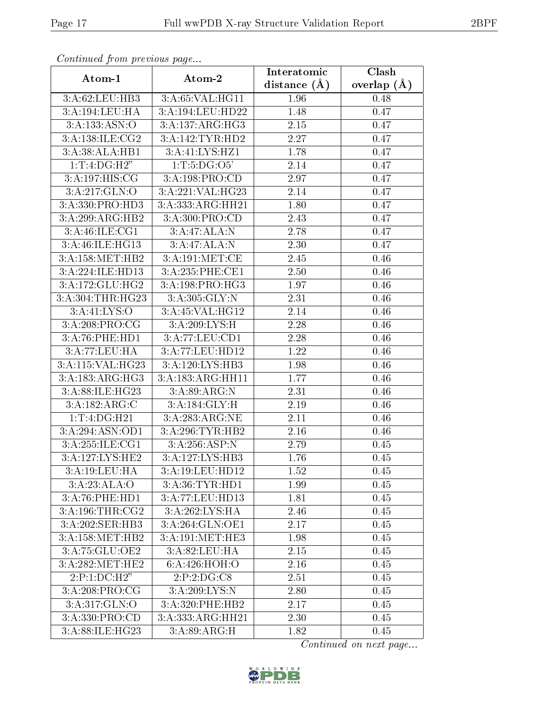| communa jioin premas page      |                                     | Interatomic       | Clash           |
|--------------------------------|-------------------------------------|-------------------|-----------------|
| Atom-1                         | Atom-2                              | distance $(A)$    | overlap $(\AA)$ |
| 3:A:62:LEU:HB3                 | 3:A:65:VAL:HG11                     | 1.96              | 0.48            |
| 3:A:194:LEU:HA                 | 3:A:194:LEU:HD22                    | 1.48              | 0.47            |
| 3: A: 133: ASN: O              | 3:A:137:ARG:HG3                     | 2.15              | 0.47            |
| 3: A:138: ILE: CG2             | 3:A:142:TYR:HD2                     | 2.27              | 0.47            |
| 3:A:38:ALA:HB1                 | 3:A:41:LYS:HZ1                      | 1.78              | 0.47            |
| 1:T:4:DG:H2"                   | 1: T: 5: DG: O5'                    | 2.14              | 0.47            |
| 3:A:197:HIS:CG                 | 3:A:198:PRO:CD                      | 2.97              | 0.47            |
| 3:A:217:GLN:O                  | 3:A:221:VAL:HG23                    | 2.14              | 0.47            |
| 3:A:330:PRO:HD3                | 3:A:333:ARG:HH21                    | 1.80              | 0.47            |
| 3:A:299:ARG:HB2                | 3:A:300:PRO:CD                      | 2.43              | 0.47            |
| 3:A:46:ILE:CG1                 | 3:A:47:ALA:N                        | 2.78              | 0.47            |
| 3:A:46:ILE:HG13                | 3:A:47:ALA:N                        | 2.30              | 0.47            |
| 3:A:158:MET:HB2                | 3:A:191:MET:CE                      | 2.45              | 0.46            |
| 3:A:224:ILE:HD13               | 3:A:235:PHE:CE1                     | 2.50              | 0.46            |
| 3:A:172:GLU:HG2                | 3:A:198:PRO:HG3                     | 1.97              | 0.46            |
| 3:A:304:THR:HG23               | 3:A:305:GLY:N                       | 2.31              | 0.46            |
| 3: A: 41: LYS: O               | 3:A:45:VAL:HG12                     | 2.14              | 0.46            |
| 3:A:208:PRO:CG                 | 3:A:209:LYS:H                       | 2.28              | 0.46            |
| 3:A:76:PHE:HD1                 | $3:A:77:\t\t\t\overline{EU:CD1}$    | 2.28              | 0.46            |
| 3:A:77:LEU:HA                  | 3:A:77:LEU:HD12                     | $\overline{1.22}$ | 0.46            |
| 3:A:115:VAL:HG23               | 3:A:120:LYS:HB3                     | 1.98              | 0.46            |
| 3:A:183:ARG:HG3                | 3:A:183:ARG:HH11                    | 1.77              | 0.46            |
| 3:A:88:ILE:HG23                | 3: A:89: ARG: N                     | 2.31              | 0.46            |
| 3:A:182:ARG:C                  | 3:A:184:GLY:H                       | 2.19              | 0.46            |
| 1: T: 4: DG:H21                | 3:A:283:ARG:NE                      | 2.11              | 0.46            |
| $3: A:294: \overline{ASN:OD1}$ | 3:A:296:TYR:HB2                     | 2.16              | 0.46            |
| 3:A:255:ILE:CG1                | 3:A:256:ASP:N                       | 2.79              | 0.45            |
| 3:A:127:LYS:HE2                | $3:A:127:\overline{\text{LYS:HB3}}$ | 1.76              | 0.45            |
| 3:A:19:LEU:HA                  | 3:A:19:LEU:HD12                     | 1.52              | 0.45            |
| 3:A:23:ALA:O                   | 3:A:36:TYR:HD1                      | 1.99              | 0.45            |
| 3:A:76:PHE:HD1                 | 3:A:77:LEU:HD13                     | 1.81              | 0.45            |
| 3:A:196:THR:CG2                | 3:A:262:LYS:HA                      | 2.46              | 0.45            |
| 3:A:202:SER:HB3                | 3:A:264:GLN:OE1                     | 2.17              | 0.45            |
| 3:A:158:MET:HB2                | 3:A:191:MET:HE3                     | 1.98              | 0.45            |
| 3:A:75:GLU:OE2                 | 3:A:82:LEU:HA                       | 2.15              | 0.45            |
| 3:A:282:MET:HE2                | 6:A:426:HOH:O                       | 2.16              | 0.45            |
| 2:P:1:DC:H2"                   | 2:P:2:DG:CS                         | 2.51              | 0.45            |
| 3:A:208:PRO:CG                 | 3:A:209:LYS:N                       | 2.80              | 0.45            |
| 3: A:317: GLN:O                | 3:A:320:PHE:HB2                     | 2.17              | 0.45            |
| 3:A:330:PRO:CD                 | 3:A:333:ARG:HH21                    | 2.30              | 0.45            |
| 3:A:88:ILE:HG23                | 3: A:89: ARG:H                      | 1.82              | 0.45            |

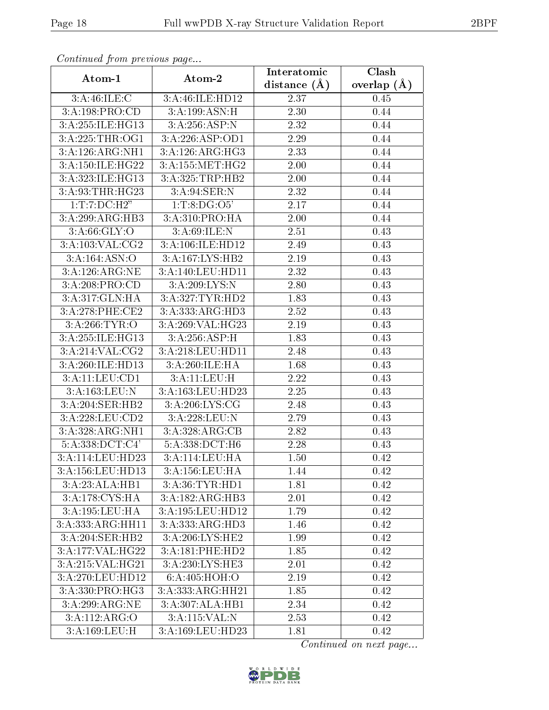| Continuati prom provious pago                         |                    | Interatomic    | Clash         |
|-------------------------------------------------------|--------------------|----------------|---------------|
| Atom-1                                                | Atom-2             | distance $(A)$ | overlap $(A)$ |
| 3:A:46:ILE:C                                          | 3:A:46:ILE:HD12    | 2.37           | 0.45          |
| 3:A:198:PRO:CD                                        | 3:A:199:ASN:H      | 2.30           | 0.44          |
| 3:A:255:ILE:HG13                                      | 3:A:256:ASP:N      | 2.32           | 0.44          |
| 3: A:225:THR:OG1                                      | 3:A:226:ASP:OD1    | 2.29           | 0.44          |
| 3:A:126:ARG:NH1                                       | 3:A:126:ARG:HG3    | 2.33           | 0.44          |
| 3:A:150:ILE:HG22                                      | 3: A: 155: MET:HG2 | 2.00           | 0.44          |
| 3:A:323:ILE:HG13                                      | 3:A:325:TRP:HB2    | 2.00           | 0.44          |
| 3:A:93:THR:HG23                                       | 3: A:94: SER: N    | 2.32           | 0.44          |
| 1:T:7:D C:H2"                                         | 1: T: 8: DG: O5'   | 2.17           | 0.44          |
| 3:A:299:ARG:HB3                                       | 3:A:310:PRO:HA     | 2.00           | 0.44          |
| 3: A:66: GLY:O                                        | 3:A:69:ILE:N       | 2.51           | 0.43          |
| $3:A:103:\overline{\text{VAL}:C}\overline{\text{G2}}$ | 3:A:106:ILE:HD12   | 2.49           | 0.43          |
| 3:A:164:ASN:O                                         | 3:A:167:LYS:HB2    | 2.19           | 0.43          |
| $3:A:126:ARG:\overline{\text{NE}}$                    | 3:A:140:LEU:HD11   | 2.32           | 0.43          |
| 3:A:208:PRO:CD                                        | 3:A:209:LYS:N      | 2.80           | 0.43          |
| 3:A:317:GLN:HA                                        | 3:A:327:TYR:HD2    | 1.83           | 0.43          |
| 3:A:278:PHE:CE2                                       | 3:A:333:ARG:HD3    | 2.52           | 0.43          |
| 3: A:266:TYR:O                                        | 3:A:269:VAL:HG23   | 2.19           | 0.43          |
| 3:A:255:ILE:HG13                                      | 3:A:256:ASP:H      | 1.83           | 0.43          |
| 3:A:214:VAL:CG2                                       | 3:A:218:LEU:HD11   | 2.48           | 0.43          |
| 3:A:260:ILE:HD13                                      | 3:A:260:ILE:HA     | 1.68           | 0.43          |
| 3:A:11:LEU:CD1                                        | 3:A:11:LEU:H       | 2.22           | 0.43          |
| 3:A:163:LEU:N                                         | 3:A:163:LEU:HD23   | 2.25           | 0.43          |
| 3:A:204:SER:HB2                                       | 3:A:206:LYS:CG     | 2.48           | 0.43          |
| 3:A:228:LEU:CD2                                       | 3:A:228:LEU:N      | 2.79           | 0.43          |
| 3:A:328:ARG:NH1                                       | 3:A:328:ARG:CB     | 2.82           | 0.43          |
| 5:A:338:DCT:C4'                                       | 5:A:338:DCT:H6     | 2.28           | 0.43          |
| 3: A:114:LEU:HD23                                     | 3:A:114:LEU:HA     | 1.50           | 0.42          |
| 3:A:156:LEU:HD13                                      | 3:A:156:LEU:HA     | 1.44           | 0.42          |
| 3:A:23:ALA:HB1                                        | 3:A:36:TYR:HD1     | 1.81           | 0.42          |
| 3:A:178:CYS:HA                                        | 3:A:182:ARG:HB3    | 2.01           | 0.42          |
| 3:A:195:LEU:HA                                        | 3:A:195:LEU:HD12   | 1.79           | 0.42          |
| 3:A:333:ARG:HH11                                      | 3:A:333:ARG:HD3    | 1.46           | 0.42          |
| 3:A:204:SER:HB2                                       | 3:A:206:LYS:HE2    | 1.99           | 0.42          |
| 3:A:177:VAL:HG22                                      | 3:A:181:PHE:HD2    | 1.85           | 0.42          |
| 3:A:215:VAL:HG21                                      | 3:A:230:LYS:HE3    | 2.01           | 0.42          |
| 3:A:270:LEU:HD12                                      | 6:A:405:HOH:O      | 2.19           | 0.42          |
| $3:A:330:P\overline{\mathrm{RO:HG3}}$                 | 3:A:333:ARG:HH21   | 1.85           | 0.42          |
| 3:A:299:ARG:NE                                        | 3:A:307:ALA:HB1    | 2.34           | 0.42          |
| 3:A:112:ARG:O                                         | 3:A:115:VAL:N      | 2.53           | 0.42          |
| 3:A:169:LEU:H                                         | 3:A:169:LEU:HD23   | 1.81           | 0.42          |

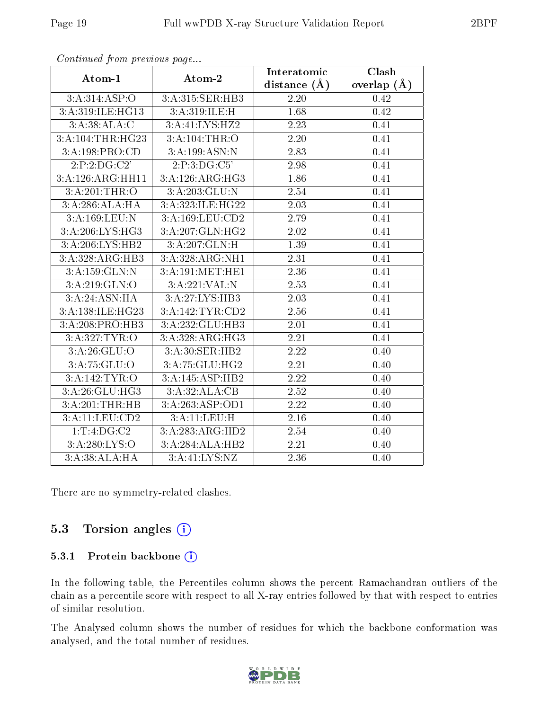| onima ou promono ao pago |                  | Interatomic       | Clash         |
|--------------------------|------------------|-------------------|---------------|
| Atom-1                   | Atom-2           | distance $(\AA)$  | overlap $(A)$ |
| 3:A:314:ASP:O            | 3:A:315:SER:HB3  | 2.20              | 0.42          |
| 3:A:319:ILE:HG13         | 3:A:319:ILE:H    | 1.68              | 0.42          |
| 3:A:38:ALA:C             | 3:A:41:LYS:HZ2   | 2.23              | 0.41          |
| 3:A:104:THR:HG23         | 3:A:104:THR:O    | 2.20              | 0.41          |
| 3:A:198:PRO:CD           | 3:A:199:ASN:N    | 2.83              | 0.41          |
| 2:P:2:DG:C2'             | 2:P:3:DG:C5'     | 2.98              | 0.41          |
| 3:A:126:ARG:HH11         | 3:A:126:ARG:HG3  | 1.86              | 0.41          |
| 3:A:201:THR:O            | 3:A:203:GLU:N    | 2.54              | 0.41          |
| 3:A:286:ALA:HA           | 3:A:323:ILE:HG22 | 2.03              | 0.41          |
| 3:A:169:LEU:N            | 3:A:169:LEU:CD2  | 2.79              | 0.41          |
| 3:A:206:LYS:HG3          | 3:A:207:GLN:HG2  | 2.02              | 0.41          |
| 3:A:206:LYS:HB2          | 3:A:207:GLN:H    | 1.39              | 0.41          |
| 3:A:328:ARG:HB3          | 3:A:328:ARG:NH1  | 2.31              | 0.41          |
| 3:A:159:GLN:N            | 3:A:191:MET:HE1  | $\overline{2.36}$ | 0.41          |
| 3:A:219:GLN:O            | 3:A:221:VAL:N    | 2.53              | 0.41          |
| 3:A:24:ASN:HA            | 3:A:27:LYS:HB3   | 2.03              | 0.41          |
| 3:A:138:ILE:HG23         | 3:A:142:TYR:CD2  | 2.56              | 0.41          |
| 3:A:208:PRO:HB3          | 3:A:232:GLU:HB3  | 2.01              | 0.41          |
| 3:A:327:TYR:O            | 3:A:328:ARG:HG3  | $\overline{2.21}$ | 0.41          |
| 3: A:26: GLU:O           | 3:A:30:SER:HB2   | 2.22              | 0.40          |
| 3:A:75:GLU:O             | 3:A:75:GLU:HG2   | $\overline{2.21}$ | 0.40          |
| 3:A:142:TYR:O            | 3:A:145:ASP:HB2  | 2.22              | 0.40          |
| 3:A:26:GLU:HG3           | 3:A:32:ALA:CB    | 2.52              | 0.40          |
| 3:A:201:THR:HB           | 3:A:263:ASP:OD1  | 2.22              | 0.40          |
| 3:A:11:LEU:CD2           | 3:A:11:LEU:H     | 2.16              | 0.40          |
| 1:T:4:DG:C2              | 3:A:283:ARG:HD2  | 2.54              | 0.40          |
| 3:A:280:LYS:O            | 3:A:284:ALA:HB2  | 2.21              | 0.40          |
| 3:A:38:ALA:HA            | 3:A:41:LYS:NZ    | 2.36              | 0.40          |

There are no symmetry-related clashes.

#### 5.3 Torsion angles  $(i)$

#### 5.3.1 Protein backbone (i)

In the following table, the Percentiles column shows the percent Ramachandran outliers of the chain as a percentile score with respect to all X-ray entries followed by that with respect to entries of similar resolution.

The Analysed column shows the number of residues for which the backbone conformation was analysed, and the total number of residues.

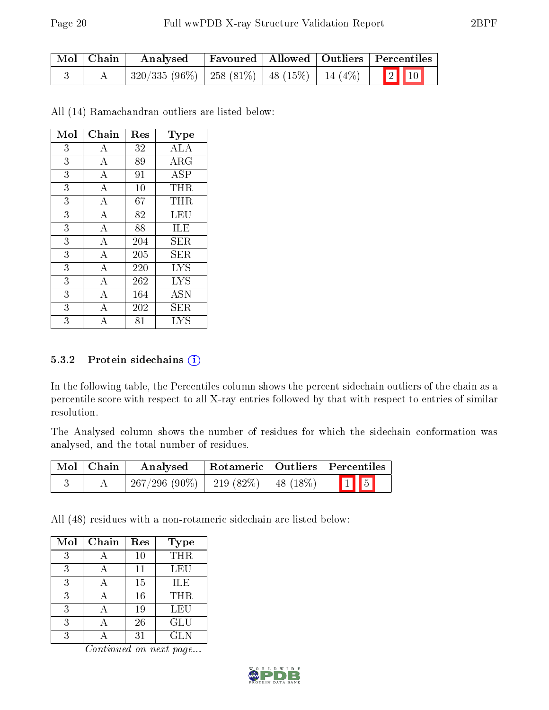| Mol   Chain | Analysed |  | Favoured   Allowed   Outliers   Percentiles |
|-------------|----------|--|---------------------------------------------|
|             |          |  |                                             |

All (14) Ramachandran outliers are listed below:

| Mol | Chain          | Res | $_{\rm Type}$ |
|-----|----------------|-----|---------------|
| 3   | А              | 32  | <b>ALA</b>    |
| 3   | А              | 89  | $\rm{ARG}$    |
| 3   | А              | 91  | <b>ASP</b>    |
| 3   | Α              | 10  | THR           |
| 3   | $\overline{A}$ | 67  | THR           |
| 3   | А              | 82  | LEU           |
| 3   | $\bf{A}$       | 88  | ILE           |
| 3   | A              | 204 | <b>SER</b>    |
| 3   | $\bf{A}$       | 205 | SER.          |
| 3   | А              | 220 | <b>LYS</b>    |
| 3   | $\overline{A}$ | 262 | LYS           |
| 3   | А              | 164 | <b>ASN</b>    |
| 3   | А              | 202 | ${\rm SER}$   |
| 3   |                | 81  | LYS           |

#### 5.3.2 Protein sidechains  $(i)$

In the following table, the Percentiles column shows the percent sidechain outliers of the chain as a percentile score with respect to all X-ray entries followed by that with respect to entries of similar resolution.

The Analysed column shows the number of residues for which the sidechain conformation was analysed, and the total number of residues.

| Mol   Chain | Analysed                                  |  | Rotameric   Outliers   Percentiles |
|-------------|-------------------------------------------|--|------------------------------------|
|             | $267/296 (90\%)$   219 (82\%)   48 (18\%) |  | $\boxed{1}$ $\boxed{5}$            |

All (48) residues with a non-rotameric sidechain are listed below:

| Mol | Chain | Res | Type       |
|-----|-------|-----|------------|
| 3   |       | 10  | THR        |
| 3   |       | 11  | LEU        |
| 3   |       | 15  | ILE        |
| 3   |       | 16  | THR        |
| 3   |       | 19  | LEU        |
| 3   |       | 26  | GLU        |
| २   |       | 31  | <b>GLN</b> |

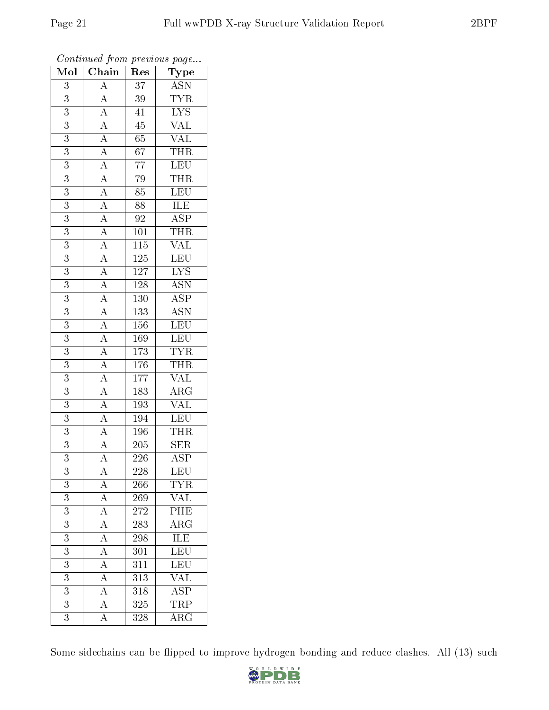| Mol              | Chain                                                                                                                                                                                                                                                                                                                                                                                                                                                                                                             | Res              | ${\bf Type}$                               |
|------------------|-------------------------------------------------------------------------------------------------------------------------------------------------------------------------------------------------------------------------------------------------------------------------------------------------------------------------------------------------------------------------------------------------------------------------------------------------------------------------------------------------------------------|------------------|--------------------------------------------|
| $\overline{3}$   | $\overline{A}$                                                                                                                                                                                                                                                                                                                                                                                                                                                                                                    | $\overline{37}$  | <b>ASN</b>                                 |
| $\overline{3}$   |                                                                                                                                                                                                                                                                                                                                                                                                                                                                                                                   | $39\,$           | $\overline{\text{TYR}}$                    |
| $\overline{3}$   |                                                                                                                                                                                                                                                                                                                                                                                                                                                                                                                   | $\overline{41}$  | $\overline{\text{LYS}}$                    |
| 3                |                                                                                                                                                                                                                                                                                                                                                                                                                                                                                                                   | $\rm 45$         | $\overline{\text{VAL}}$                    |
| $\overline{3}$   |                                                                                                                                                                                                                                                                                                                                                                                                                                                                                                                   | $\overline{65}$  | <b>VAL</b>                                 |
| $\overline{3}$   |                                                                                                                                                                                                                                                                                                                                                                                                                                                                                                                   | $\overline{67}$  | <b>THR</b>                                 |
| $\overline{3}$   |                                                                                                                                                                                                                                                                                                                                                                                                                                                                                                                   | $\overline{77}$  | $\overline{\text{LEU}}$                    |
| $\overline{3}$   |                                                                                                                                                                                                                                                                                                                                                                                                                                                                                                                   | 79               | $\frac{\overline{\text{THR}}}{\text{LEV}}$ |
| 3                |                                                                                                                                                                                                                                                                                                                                                                                                                                                                                                                   | $\overline{85}$  |                                            |
| $\overline{3}$   |                                                                                                                                                                                                                                                                                                                                                                                                                                                                                                                   | $\overline{88}$  | $\frac{1}{\text{ILE}}$ ASP                 |
| $\overline{3}$   |                                                                                                                                                                                                                                                                                                                                                                                                                                                                                                                   | $\overline{92}$  |                                            |
| $\overline{3}$   |                                                                                                                                                                                                                                                                                                                                                                                                                                                                                                                   | $\overline{101}$ | $\frac{\overline{\text{THR}}}{\text{VAL}}$ |
| $\overline{3}$   |                                                                                                                                                                                                                                                                                                                                                                                                                                                                                                                   | $\overline{115}$ |                                            |
| $\overline{3}$   | $\frac{\overline{A}}{\overline{A}}\frac{\overline{A}}{\overline{A}}\frac{\overline{A}}{\overline{A}}\frac{\overline{A}}{\overline{A}}\frac{\overline{A}}{\overline{A}}\frac{\overline{A}}{\overline{A}}\frac{\overline{A}}{\overline{A}}\frac{\overline{A}}{\overline{A}}\frac{\overline{A}}{\overline{A}}\frac{\overline{A}}{\overline{A}}\frac{\overline{A}}{\overline{A}}\frac{\overline{A}}{\overline{A}}\frac{\overline{A}}{\overline{A}}\frac{\overline{A}}{\overline{A}}\frac{\overline{A}}{\overline{A}}$ | $125\,$          | LEU                                        |
| $\overline{3}$   |                                                                                                                                                                                                                                                                                                                                                                                                                                                                                                                   | 127              | $\overline{\text{LYS}}$                    |
| $\overline{3}$   |                                                                                                                                                                                                                                                                                                                                                                                                                                                                                                                   | 128              | $\overline{\mathrm{ASN}}$                  |
| $\overline{3}$   |                                                                                                                                                                                                                                                                                                                                                                                                                                                                                                                   | $\overline{130}$ | $\overline{\text{ASP}}$                    |
| 3                |                                                                                                                                                                                                                                                                                                                                                                                                                                                                                                                   | 133              | <b>ASN</b>                                 |
| 3                |                                                                                                                                                                                                                                                                                                                                                                                                                                                                                                                   | $\overline{156}$ | LEU                                        |
| $\overline{3}$   |                                                                                                                                                                                                                                                                                                                                                                                                                                                                                                                   | 169              | <b>LEU</b>                                 |
| 3                |                                                                                                                                                                                                                                                                                                                                                                                                                                                                                                                   | 173              | <b>TYR</b>                                 |
| $\overline{3}$   |                                                                                                                                                                                                                                                                                                                                                                                                                                                                                                                   | 176              | THR                                        |
| 3                |                                                                                                                                                                                                                                                                                                                                                                                                                                                                                                                   | 177              | <b>VAL</b>                                 |
| $\overline{3}$   |                                                                                                                                                                                                                                                                                                                                                                                                                                                                                                                   | 183              | $\overline{\rm{ARG}}$                      |
| $\overline{3}$   |                                                                                                                                                                                                                                                                                                                                                                                                                                                                                                                   | 193              | <b>VAL</b>                                 |
| $\overline{3}$   |                                                                                                                                                                                                                                                                                                                                                                                                                                                                                                                   | $\overline{194}$ | <b>LEU</b>                                 |
| $\overline{3}$   |                                                                                                                                                                                                                                                                                                                                                                                                                                                                                                                   | 196              | <b>THR</b>                                 |
| $\overline{3}$   |                                                                                                                                                                                                                                                                                                                                                                                                                                                                                                                   | $\overline{205}$ | $\overline{\text{SER}}$                    |
| $\overline{3}$   |                                                                                                                                                                                                                                                                                                                                                                                                                                                                                                                   | $\overline{226}$ | $\overline{\rm ASP}$                       |
| 3                | Α                                                                                                                                                                                                                                                                                                                                                                                                                                                                                                                 | 228              | LEU                                        |
| $\overline{3}$   | $\overline{A}$                                                                                                                                                                                                                                                                                                                                                                                                                                                                                                    | 266              | <b>TYR</b>                                 |
| $\overline{3}$   | $\frac{\overline{A}}{\overline{A}}$                                                                                                                                                                                                                                                                                                                                                                                                                                                                               | 269              | <b>VAL</b>                                 |
| $\boldsymbol{3}$ |                                                                                                                                                                                                                                                                                                                                                                                                                                                                                                                   | 272              | $\overline{PHE}$                           |
| $\overline{3}$   |                                                                                                                                                                                                                                                                                                                                                                                                                                                                                                                   | $\overline{283}$ | $\overline{\rm ARG}$                       |
| $\overline{3}$   | $\frac{\overline{A}}{\overline{A}}$                                                                                                                                                                                                                                                                                                                                                                                                                                                                               | 298              | ILE                                        |
| $\overline{3}$   |                                                                                                                                                                                                                                                                                                                                                                                                                                                                                                                   | $30\overline{1}$ | LEU                                        |
| $\overline{3}$   | $\frac{\overline{A}}{A}$                                                                                                                                                                                                                                                                                                                                                                                                                                                                                          | 311              | <b>LEU</b>                                 |
| 3                |                                                                                                                                                                                                                                                                                                                                                                                                                                                                                                                   | 313              | <b>VAL</b>                                 |
| $\overline{3}$   | $\frac{\overline{A}}{\overline{A}}$                                                                                                                                                                                                                                                                                                                                                                                                                                                                               | 318              | $\overline{\text{ASP}}$                    |
| 3                |                                                                                                                                                                                                                                                                                                                                                                                                                                                                                                                   | 325              | $T\overline{\text{RP}}$                    |
| $\overline{3}$   | $\overline{\rm A}$                                                                                                                                                                                                                                                                                                                                                                                                                                                                                                | $\overline{328}$ | $\overline{\rm{ARG}}$                      |

Some sidechains can be flipped to improve hydrogen bonding and reduce clashes. All (13) such

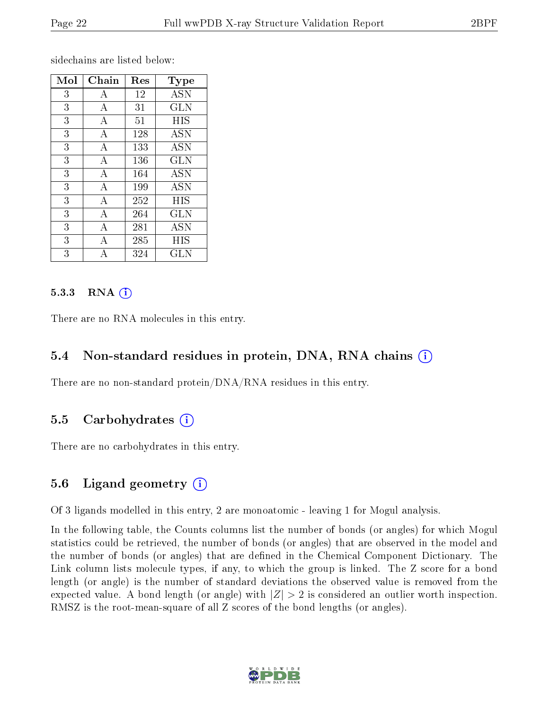sidechains are listed below:

| Mol | ${\rm Chain}$ | Res | Type         |
|-----|---------------|-----|--------------|
| 3   | A             | 12  | <b>ASN</b>   |
| 3   | А             | 31  | <b>GLN</b>   |
| 3   | А             | 51  | HIS          |
| 3   | А             | 128 | <b>ASN</b>   |
| 3   | А             | 133 | <b>ASN</b>   |
| 3   | A             | 136 | <b>GLN</b>   |
| 3   | А             | 164 | ASN          |
| 3   | А             | 199 | <b>ASN</b>   |
| 3   | А             | 252 | HIS          |
| 3   | А             | 264 | GLN          |
| 3   | А             | 281 | <b>ASN</b>   |
| 3   | Α             | 285 | HIS          |
| 3   |               | 324 | $_{\rm GLN}$ |

#### $5.3.3$  RNA  $(i)$

There are no RNA molecules in this entry.

### 5.4 Non-standard residues in protein, DNA, RNA chains (i)

There are no non-standard protein/DNA/RNA residues in this entry.

### 5.5 Carbohydrates (i)

There are no carbohydrates in this entry.

#### 5.6 Ligand geometry (i)

Of 3 ligands modelled in this entry, 2 are monoatomic - leaving 1 for Mogul analysis.

In the following table, the Counts columns list the number of bonds (or angles) for which Mogul statistics could be retrieved, the number of bonds (or angles) that are observed in the model and the number of bonds (or angles) that are defined in the Chemical Component Dictionary. The Link column lists molecule types, if any, to which the group is linked. The Z score for a bond length (or angle) is the number of standard deviations the observed value is removed from the expected value. A bond length (or angle) with  $|Z| > 2$  is considered an outlier worth inspection. RMSZ is the root-mean-square of all Z scores of the bond lengths (or angles).

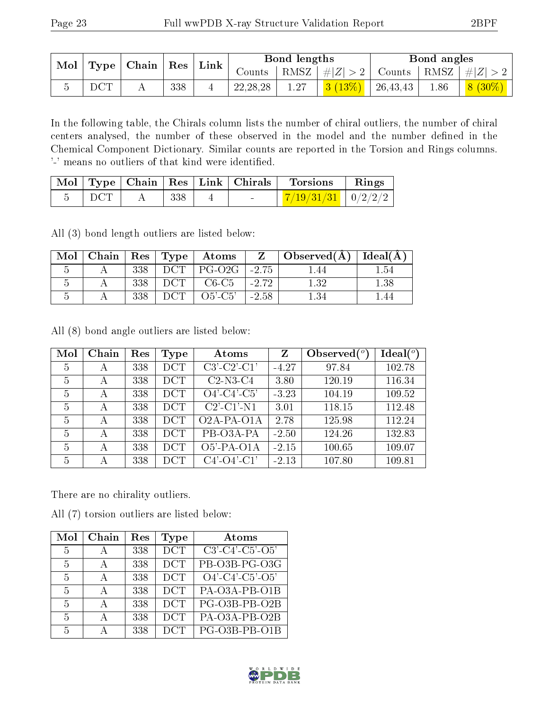|            | $\parallel$ Mol $\parallel$ Type $\parallel$ Chain $\parallel$ Res $\parallel$ |     | $\perp$ Link | Bond lengths |      |                       | Bond angles |  |                                                                   |
|------------|--------------------------------------------------------------------------------|-----|--------------|--------------|------|-----------------------|-------------|--|-------------------------------------------------------------------|
|            |                                                                                |     |              |              |      |                       |             |  | Counts   RMSZ $\mid \#  Z  > 2$   Counts   RMSZ $\mid \#  Z  > 2$ |
| <b>DCT</b> |                                                                                | 338 |              | 22, 28, 28   | 1.27 | 3 $(13\%)$   26,43,43 |             |  | $1.86$   $8(30\%)$                                                |

In the following table, the Chirals column lists the number of chiral outliers, the number of chiral centers analysed, the number of these observed in the model and the number defined in the Chemical Component Dictionary. Similar counts are reported in the Torsion and Rings columns. '-' means no outliers of that kind were identified.

|             |     |                                           | $\mid$ Mol $\mid$ Type $\mid$ Chain $\mid$ Res $\mid$ Link $\mid$ Chirals $\mid$ Torsions | $\parallel$ Rings |
|-------------|-----|-------------------------------------------|-------------------------------------------------------------------------------------------|-------------------|
| $\perp$ DCT | 338 | <b>Service Contract Contract Contract</b> | $\frac{1}{2}/19/31/31$   0/2/2/2                                                          |                   |

All (3) bond length outliers are listed below:

| Mol | Chain   $\text{Res}$   $\text{Type}$ |     |      | $\boldsymbol{\mathrm{Atoms}}$ |         | $\overline{\text{Observed}}(\text{A})$ | Ideal(A) |
|-----|--------------------------------------|-----|------|-------------------------------|---------|----------------------------------------|----------|
|     |                                      | 338 | DCT  | $PG-O2G$                      | -2.75   | .44                                    | .54      |
|     |                                      | 338 | ாமுட | $C6-C5$                       | $-2.72$ | 1.32                                   | .38      |
|     |                                      | 338 |      | $O5'$ -C5'                    | $-2.58$ |                                        |          |

All (8) bond angle outliers are listed below:

| Mol | Chain | Res | Type       | Atoms                                                              | Z       | Observed $(°)$ | $\text{Ideal}({}^o)$ |
|-----|-------|-----|------------|--------------------------------------------------------------------|---------|----------------|----------------------|
| 5   | А     | 338 | <b>DCT</b> | $C3'-C2'-C1'$                                                      | $-4.27$ | 97.84          | 102.78               |
| 5   | А     | 338 | <b>DCT</b> | $C2-N3-C4$                                                         | 3.80    | 120.19         | 116.34               |
| 5   | А     | 338 | <b>DCT</b> | $O4'-C4'-C5'$                                                      | $-3.23$ | 104.19         | 109.52               |
| 5   | А     | 338 | <b>DCT</b> | $C2$ <sup><math>-</math></sup> $C1$ <sup><math>-</math></sup> $N1$ | 3.01    | 118.15         | 112.48               |
| 5   | А     | 338 | <b>DCT</b> | $O2A-PA-O1A$                                                       | 2.78    | 125.98         | 112.24               |
| 5   | А     | 338 | <b>DCT</b> | PB-03A-PA                                                          | $-2.50$ | 124.26         | 132.83               |
| 5   | А     | 338 | <b>DCT</b> | $O5'$ -PA- $O1A$                                                   | $-2.15$ | 100.65         | 109.07               |
| 5   | А     | 338 | <b>DCT</b> | $C4'-O4'-C1'$                                                      | $-2.13$ | 107.80         | 109.81               |

There are no chirality outliers.

All (7) torsion outliers are listed below:

| Mol            | Chain        | Res | Type       | Atoms                         |
|----------------|--------------|-----|------------|-------------------------------|
| $\overline{5}$ | А            | 338 | <b>DCT</b> | $C3'$ - $C4'$ - $C5'$ - $O5'$ |
| 5              | А            | 338 | <b>DCT</b> | $\overline{PB-O3B}$ -PG-O3G   |
| 5              | $\mathsf{A}$ | 338 | <b>DCT</b> | $O4'$ - $C4'$ - $C5'$ - $O5'$ |
| 5              | А            | 338 | <b>DCT</b> | PA-O3A-PB-O1B                 |
| $\overline{5}$ | А            | 338 | <b>DCT</b> | PG-O3B-PB-O2B                 |
| $\frac{5}{2}$  | А            | 338 | <b>DCT</b> | PA-O3A-PB-O2B                 |
| $\frac{5}{2}$  |              | 338 | <b>DCT</b> | PG-O3B-PB-O1B                 |

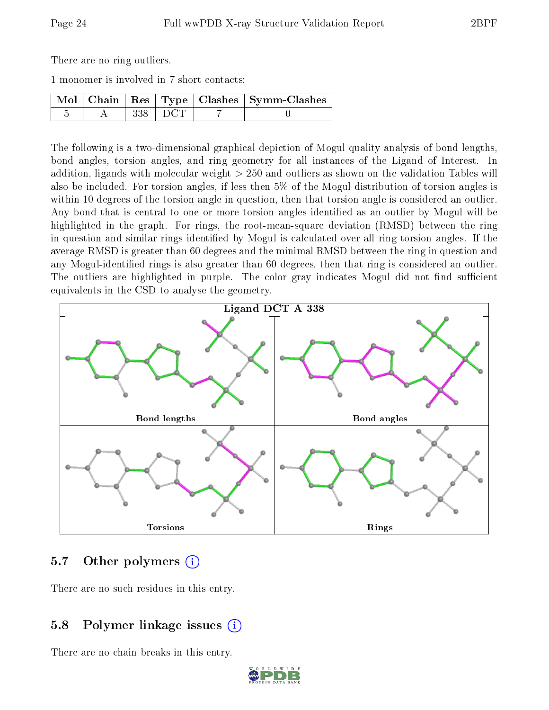There are no ring outliers.

1 monomer is involved in 7 short contacts:

|  |            | $\boxed{\text{Mol}$ Chain   Res   Type   Clashes   Symm-Clashes |
|--|------------|-----------------------------------------------------------------|
|  | $-338$ DCT |                                                                 |

The following is a two-dimensional graphical depiction of Mogul quality analysis of bond lengths, bond angles, torsion angles, and ring geometry for all instances of the Ligand of Interest. In addition, ligands with molecular weight > 250 and outliers as shown on the validation Tables will also be included. For torsion angles, if less then 5% of the Mogul distribution of torsion angles is within 10 degrees of the torsion angle in question, then that torsion angle is considered an outlier. Any bond that is central to one or more torsion angles identified as an outlier by Mogul will be highlighted in the graph. For rings, the root-mean-square deviation (RMSD) between the ring in question and similar rings identified by Mogul is calculated over all ring torsion angles. If the average RMSD is greater than 60 degrees and the minimal RMSD between the ring in question and any Mogul-identified rings is also greater than 60 degrees, then that ring is considered an outlier. The outliers are highlighted in purple. The color gray indicates Mogul did not find sufficient equivalents in the CSD to analyse the geometry.



### 5.7 [O](https://www.wwpdb.org/validation/2017/XrayValidationReportHelp#nonstandard_residues_and_ligands)ther polymers  $(i)$

There are no such residues in this entry.

### 5.8 Polymer linkage issues  $(i)$

There are no chain breaks in this entry.